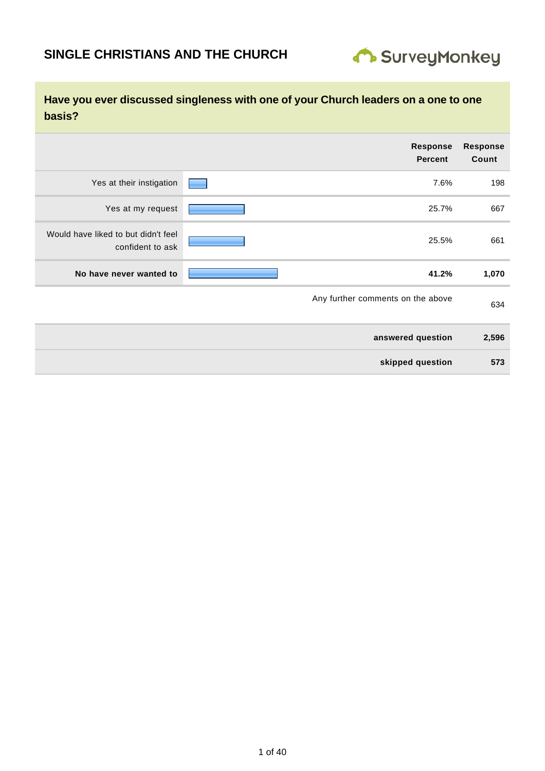

| <b>Response</b><br>Count | Response<br><b>Percent</b>        |                          |                                     |
|--------------------------|-----------------------------------|--------------------------|-------------------------------------|
| 198                      | 7.6%                              | Yes at their instigation |                                     |
| 667                      | 25.7%                             | Yes at my request        |                                     |
| 661                      | 25.5%                             | confident to ask         | Would have liked to but didn't feel |
| 1,070                    | 41.2%                             | No have never wanted to  |                                     |
| 634                      | Any further comments on the above |                          |                                     |
| 2,596                    | answered question                 |                          |                                     |
| 573                      | skipped question                  |                          |                                     |
|                          |                                   |                          |                                     |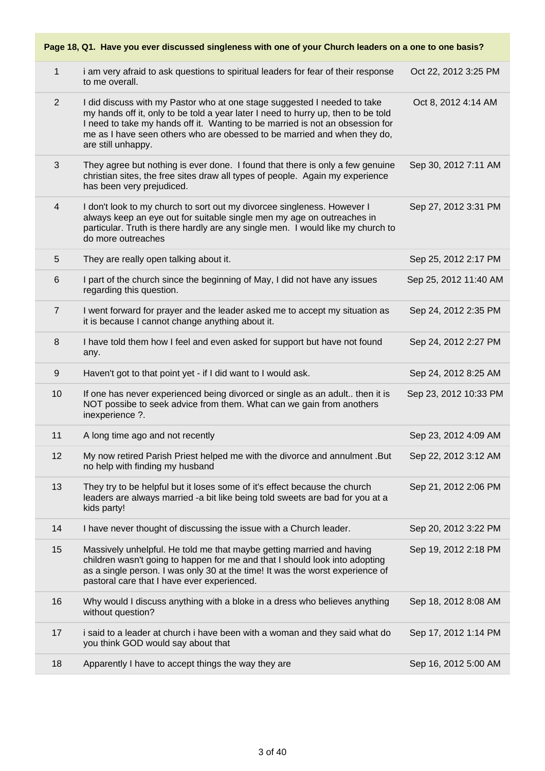|                  | Page 18, Q1. Have you ever discussed singleness with one of your Church leaders on a one to one basis?                                                                                                                                                                                                                                           |                       |  |  |
|------------------|--------------------------------------------------------------------------------------------------------------------------------------------------------------------------------------------------------------------------------------------------------------------------------------------------------------------------------------------------|-----------------------|--|--|
| $\mathbf{1}$     | i am very afraid to ask questions to spiritual leaders for fear of their response<br>to me overall.                                                                                                                                                                                                                                              | Oct 22, 2012 3:25 PM  |  |  |
| 2                | I did discuss with my Pastor who at one stage suggested I needed to take<br>my hands off it, only to be told a year later I need to hurry up, then to be told<br>I need to take my hands off it. Wanting to be married is not an obsession for<br>me as I have seen others who are obessed to be married and when they do,<br>are still unhappy. | Oct 8, 2012 4:14 AM   |  |  |
| 3                | They agree but nothing is ever done. I found that there is only a few genuine<br>christian sites, the free sites draw all types of people. Again my experience<br>has been very prejudiced.                                                                                                                                                      | Sep 30, 2012 7:11 AM  |  |  |
| 4                | I don't look to my church to sort out my divorcee singleness. However I<br>always keep an eye out for suitable single men my age on outreaches in<br>particular. Truth is there hardly are any single men. I would like my church to<br>do more outreaches                                                                                       | Sep 27, 2012 3:31 PM  |  |  |
| $\sqrt{5}$       | They are really open talking about it.                                                                                                                                                                                                                                                                                                           | Sep 25, 2012 2:17 PM  |  |  |
| 6                | I part of the church since the beginning of May, I did not have any issues<br>regarding this question.                                                                                                                                                                                                                                           | Sep 25, 2012 11:40 AM |  |  |
| $\overline{7}$   | I went forward for prayer and the leader asked me to accept my situation as<br>it is because I cannot change anything about it.                                                                                                                                                                                                                  | Sep 24, 2012 2:35 PM  |  |  |
| 8                | I have told them how I feel and even asked for support but have not found<br>any.                                                                                                                                                                                                                                                                | Sep 24, 2012 2:27 PM  |  |  |
| $\boldsymbol{9}$ | Haven't got to that point yet - if I did want to I would ask.                                                                                                                                                                                                                                                                                    | Sep 24, 2012 8:25 AM  |  |  |
| 10               | If one has never experienced being divorced or single as an adult then it is<br>NOT possibe to seek advice from them. What can we gain from anothers<br>inexperience ?.                                                                                                                                                                          | Sep 23, 2012 10:33 PM |  |  |
| 11               | A long time ago and not recently                                                                                                                                                                                                                                                                                                                 | Sep 23, 2012 4:09 AM  |  |  |
| 12               | My now retired Parish Priest helped me with the divorce and annulment .But<br>no help with finding my husband                                                                                                                                                                                                                                    | Sep 22, 2012 3:12 AM  |  |  |
| 13               | They try to be helpful but it loses some of it's effect because the church<br>leaders are always married -a bit like being told sweets are bad for you at a<br>kids party!                                                                                                                                                                       | Sep 21, 2012 2:06 PM  |  |  |
| 14               | I have never thought of discussing the issue with a Church leader.                                                                                                                                                                                                                                                                               | Sep 20, 2012 3:22 PM  |  |  |
| 15               | Massively unhelpful. He told me that maybe getting married and having<br>children wasn't going to happen for me and that I should look into adopting<br>as a single person. I was only 30 at the time! It was the worst experience of<br>pastoral care that I have ever experienced.                                                             | Sep 19, 2012 2:18 PM  |  |  |
| 16               | Why would I discuss anything with a bloke in a dress who believes anything<br>without question?                                                                                                                                                                                                                                                  | Sep 18, 2012 8:08 AM  |  |  |
| 17               | i said to a leader at church i have been with a woman and they said what do<br>you think GOD would say about that                                                                                                                                                                                                                                | Sep 17, 2012 1:14 PM  |  |  |
| 18               | Apparently I have to accept things the way they are                                                                                                                                                                                                                                                                                              | Sep 16, 2012 5:00 AM  |  |  |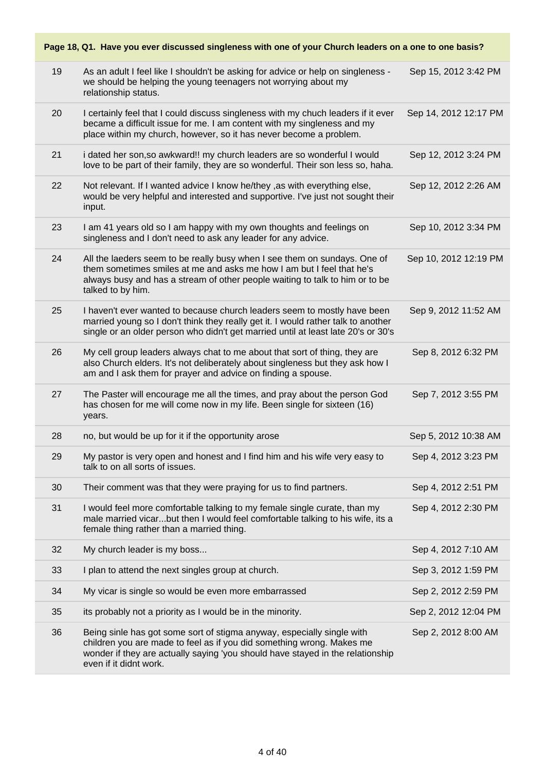|    | Page 18, Q1. Have you ever discussed singleness with one of your Church leaders on a one to one basis?                                                                                                                                                      |                       |  |  |
|----|-------------------------------------------------------------------------------------------------------------------------------------------------------------------------------------------------------------------------------------------------------------|-----------------------|--|--|
| 19 | As an adult I feel like I shouldn't be asking for advice or help on singleness -<br>we should be helping the young teenagers not worrying about my<br>relationship status.                                                                                  | Sep 15, 2012 3:42 PM  |  |  |
| 20 | I certainly feel that I could discuss singleness with my chuch leaders if it ever<br>became a difficult issue for me. I am content with my singleness and my<br>place within my church, however, so it has never become a problem.                          | Sep 14, 2012 12:17 PM |  |  |
| 21 | i dated her son, so awkward!! my church leaders are so wonderful I would<br>love to be part of their family, they are so wonderful. Their son less so, haha.                                                                                                | Sep 12, 2012 3:24 PM  |  |  |
| 22 | Not relevant. If I wanted advice I know he/they , as with everything else,<br>would be very helpful and interested and supportive. I've just not sought their<br>input.                                                                                     | Sep 12, 2012 2:26 AM  |  |  |
| 23 | I am 41 years old so I am happy with my own thoughts and feelings on<br>singleness and I don't need to ask any leader for any advice.                                                                                                                       | Sep 10, 2012 3:34 PM  |  |  |
| 24 | All the laeders seem to be really busy when I see them on sundays. One of<br>them sometimes smiles at me and asks me how I am but I feel that he's<br>always busy and has a stream of other people waiting to talk to him or to be<br>talked to by him.     | Sep 10, 2012 12:19 PM |  |  |
| 25 | I haven't ever wanted to because church leaders seem to mostly have been<br>married young so I don't think they really get it. I would rather talk to another<br>single or an older person who didn't get married until at least late 20's or 30's          | Sep 9, 2012 11:52 AM  |  |  |
| 26 | My cell group leaders always chat to me about that sort of thing, they are<br>also Church elders. It's not deliberately about singleness but they ask how I<br>am and I ask them for prayer and advice on finding a spouse.                                 | Sep 8, 2012 6:32 PM   |  |  |
| 27 | The Paster will encourage me all the times, and pray about the person God<br>has chosen for me will come now in my life. Been single for sixteen (16)<br>years.                                                                                             | Sep 7, 2012 3:55 PM   |  |  |
| 28 | no, but would be up for it if the opportunity arose                                                                                                                                                                                                         | Sep 5, 2012 10:38 AM  |  |  |
| 29 | My pastor is very open and honest and I find him and his wife very easy to<br>talk to on all sorts of issues.                                                                                                                                               | Sep 4, 2012 3:23 PM   |  |  |
| 30 | Their comment was that they were praying for us to find partners.                                                                                                                                                                                           | Sep 4, 2012 2:51 PM   |  |  |
| 31 | I would feel more comfortable talking to my female single curate, than my<br>male married vicarbut then I would feel comfortable talking to his wife, its a<br>female thing rather than a married thing.                                                    | Sep 4, 2012 2:30 PM   |  |  |
| 32 | My church leader is my boss                                                                                                                                                                                                                                 | Sep 4, 2012 7:10 AM   |  |  |
| 33 | I plan to attend the next singles group at church.                                                                                                                                                                                                          | Sep 3, 2012 1:59 PM   |  |  |
| 34 | My vicar is single so would be even more embarrassed                                                                                                                                                                                                        | Sep 2, 2012 2:59 PM   |  |  |
| 35 | its probably not a priority as I would be in the minority.                                                                                                                                                                                                  | Sep 2, 2012 12:04 PM  |  |  |
| 36 | Being sinle has got some sort of stigma anyway, especially single with<br>children you are made to feel as if you did something wrong. Makes me<br>wonder if they are actually saying 'you should have stayed in the relationship<br>even if it didnt work. | Sep 2, 2012 8:00 AM   |  |  |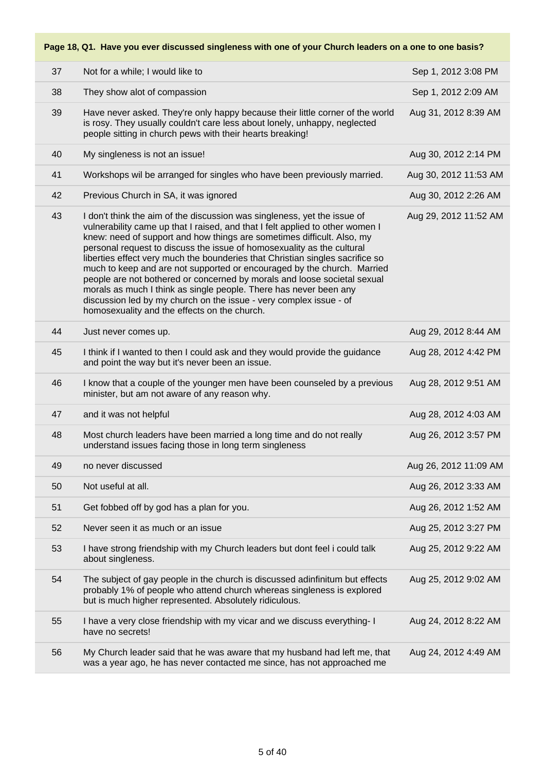| 37 | Not for a while; I would like to                                                                                                                                                                                                                                                                                                                                                                                                                                                                                                                                                                                                                                                                                                                 | Sep 1, 2012 3:08 PM   |
|----|--------------------------------------------------------------------------------------------------------------------------------------------------------------------------------------------------------------------------------------------------------------------------------------------------------------------------------------------------------------------------------------------------------------------------------------------------------------------------------------------------------------------------------------------------------------------------------------------------------------------------------------------------------------------------------------------------------------------------------------------------|-----------------------|
| 38 | They show alot of compassion                                                                                                                                                                                                                                                                                                                                                                                                                                                                                                                                                                                                                                                                                                                     | Sep 1, 2012 2:09 AM   |
| 39 | Have never asked. They're only happy because their little corner of the world<br>is rosy. They usually couldn't care less about lonely, unhappy, neglected<br>people sitting in church pews with their hearts breaking!                                                                                                                                                                                                                                                                                                                                                                                                                                                                                                                          | Aug 31, 2012 8:39 AM  |
| 40 | My singleness is not an issue!                                                                                                                                                                                                                                                                                                                                                                                                                                                                                                                                                                                                                                                                                                                   | Aug 30, 2012 2:14 PM  |
| 41 | Workshops wil be arranged for singles who have been previously married.                                                                                                                                                                                                                                                                                                                                                                                                                                                                                                                                                                                                                                                                          | Aug 30, 2012 11:53 AM |
| 42 | Previous Church in SA, it was ignored                                                                                                                                                                                                                                                                                                                                                                                                                                                                                                                                                                                                                                                                                                            | Aug 30, 2012 2:26 AM  |
| 43 | I don't think the aim of the discussion was singleness, yet the issue of<br>vulnerability came up that I raised, and that I felt applied to other women I<br>knew: need of support and how things are sometimes difficult. Also, my<br>personal request to discuss the issue of homosexuality as the cultural<br>liberties effect very much the bounderies that Christian singles sacrifice so<br>much to keep and are not supported or encouraged by the church. Married<br>people are not bothered or concerned by morals and loose societal sexual<br>morals as much I think as single people. There has never been any<br>discussion led by my church on the issue - very complex issue - of<br>homosexuality and the effects on the church. | Aug 29, 2012 11:52 AM |
| 44 | Just never comes up.                                                                                                                                                                                                                                                                                                                                                                                                                                                                                                                                                                                                                                                                                                                             | Aug 29, 2012 8:44 AM  |
| 45 | I think if I wanted to then I could ask and they would provide the guidance<br>and point the way but it's never been an issue.                                                                                                                                                                                                                                                                                                                                                                                                                                                                                                                                                                                                                   | Aug 28, 2012 4:42 PM  |
| 46 | I know that a couple of the younger men have been counseled by a previous<br>minister, but am not aware of any reason why.                                                                                                                                                                                                                                                                                                                                                                                                                                                                                                                                                                                                                       | Aug 28, 2012 9:51 AM  |
| 47 | and it was not helpful                                                                                                                                                                                                                                                                                                                                                                                                                                                                                                                                                                                                                                                                                                                           | Aug 28, 2012 4:03 AM  |
| 48 | Most church leaders have been married a long time and do not really<br>understand issues facing those in long term singleness                                                                                                                                                                                                                                                                                                                                                                                                                                                                                                                                                                                                                    | Aug 26, 2012 3:57 PM  |
| 49 | no never discussed                                                                                                                                                                                                                                                                                                                                                                                                                                                                                                                                                                                                                                                                                                                               | Aug 26, 2012 11:09 AM |
| 50 | Not useful at all.                                                                                                                                                                                                                                                                                                                                                                                                                                                                                                                                                                                                                                                                                                                               | Aug 26, 2012 3:33 AM  |
| 51 | Get fobbed off by god has a plan for you.                                                                                                                                                                                                                                                                                                                                                                                                                                                                                                                                                                                                                                                                                                        | Aug 26, 2012 1:52 AM  |
| 52 | Never seen it as much or an issue                                                                                                                                                                                                                                                                                                                                                                                                                                                                                                                                                                                                                                                                                                                | Aug 25, 2012 3:27 PM  |
| 53 | I have strong friendship with my Church leaders but dont feel i could talk<br>about singleness.                                                                                                                                                                                                                                                                                                                                                                                                                                                                                                                                                                                                                                                  | Aug 25, 2012 9:22 AM  |
| 54 | The subject of gay people in the church is discussed adinfinitum but effects<br>probably 1% of people who attend church whereas singleness is explored<br>but is much higher represented. Absolutely ridiculous.                                                                                                                                                                                                                                                                                                                                                                                                                                                                                                                                 | Aug 25, 2012 9:02 AM  |
| 55 | I have a very close friendship with my vicar and we discuss everything- I<br>have no secrets!                                                                                                                                                                                                                                                                                                                                                                                                                                                                                                                                                                                                                                                    | Aug 24, 2012 8:22 AM  |
| 56 | My Church leader said that he was aware that my husband had left me, that<br>was a year ago, he has never contacted me since, has not approached me                                                                                                                                                                                                                                                                                                                                                                                                                                                                                                                                                                                              | Aug 24, 2012 4:49 AM  |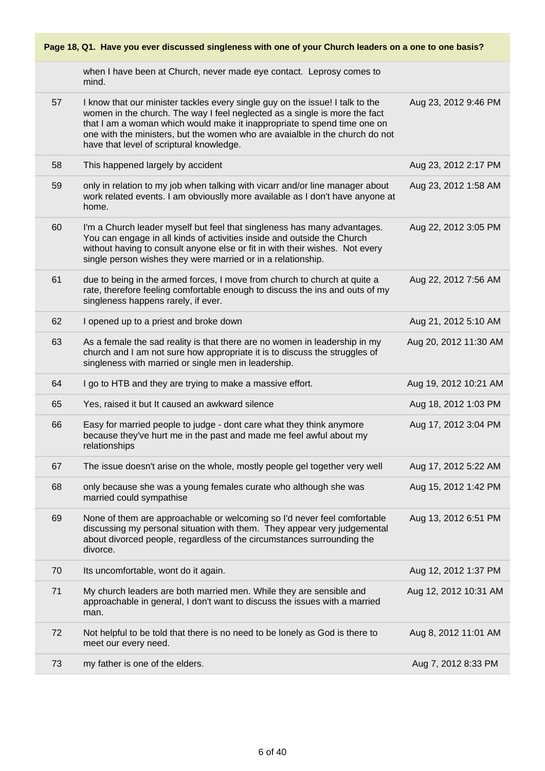when I have been at Church, never made eye contact. Leprosy comes to mind. 57 I know that our minister tackles every single guy on the issue! I talk to the women in the church. The way I feel neglected as a single is more the fact that I am a woman which would make it inappropriate to spend time one on one with the ministers, but the women who are avaialble in the church do not have that level of scriptural knowledge. Aug 23, 2012 9:46 PM 58 This happened largely by accident Aug 23, 2012 2:17 PM 59 only in relation to my job when talking with vicarr and/or line manager about work related events. I am obviouslly more available as I don't have anyone at home. Aug 23, 2012 1:58 AM 60 I'm a Church leader myself but feel that singleness has many advantages. You can engage in all kinds of activities inside and outside the Church without having to consult anyone else or fit in with their wishes. Not every single person wishes they were married or in a relationship. Aug 22, 2012 3:05 PM 61 due to being in the armed forces, I move from church to church at quite a rate, therefore feeling comfortable enough to discuss the ins and outs of my singleness happens rarely, if ever. Aug 22, 2012 7:56 AM 62 I opened up to a priest and broke down Aug 21, 2012 5:10 AM 63 As a female the sad reality is that there are no women in leadership in my church and I am not sure how appropriate it is to discuss the struggles of singleness with married or single men in leadership. Aug 20, 2012 11:30 AM 64 I go to HTB and they are trying to make a massive effort. Aug 19, 2012 10:21 AM 65 Yes, raised it but It caused an awkward silence Aug 18, 2012 1:03 PM 66 Easy for married people to judge - dont care what they think anymore because they've hurt me in the past and made me feel awful about my relationships Aug 17, 2012 3:04 PM 67 The issue doesn't arise on the whole, mostly people gel together very well Aug 17, 2012 5:22 AM 68 only because she was a young females curate who although she was married could sympathise Aug 15, 2012 1:42 PM 69 None of them are approachable or welcoming so I'd never feel comfortable discussing my personal situation with them. They appear very judgemental about divorced people, regardless of the circumstances surrounding the divorce. Aug 13, 2012 6:51 PM 70 Its uncomfortable, wont do it again. Aug 12, 2012 1:37 PM 71 My church leaders are both married men. While they are sensible and approachable in general, I don't want to discuss the issues with a married man. Aug 12, 2012 10:31 AM 72 Not helpful to be told that there is no need to be lonely as God is there to meet our every need. Aug 8, 2012 11:01 AM 73 my father is one of the elders. Aug 7, 2012 8:33 PM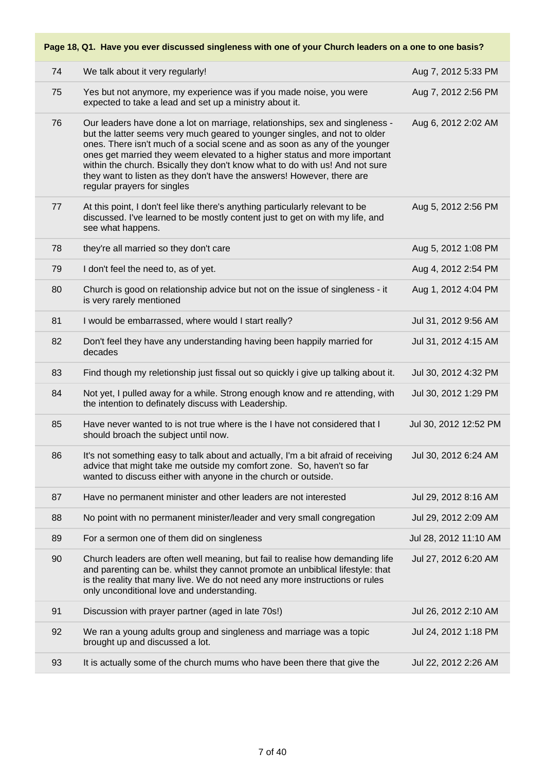| 74 | We talk about it very regularly!                                                                                                                                                                                                                                                                                                                                                                                                                                                                               | Aug 7, 2012 5:33 PM   |
|----|----------------------------------------------------------------------------------------------------------------------------------------------------------------------------------------------------------------------------------------------------------------------------------------------------------------------------------------------------------------------------------------------------------------------------------------------------------------------------------------------------------------|-----------------------|
| 75 | Yes but not anymore, my experience was if you made noise, you were<br>expected to take a lead and set up a ministry about it.                                                                                                                                                                                                                                                                                                                                                                                  | Aug 7, 2012 2:56 PM   |
| 76 | Our leaders have done a lot on marriage, relationships, sex and singleness -<br>but the latter seems very much geared to younger singles, and not to older<br>ones. There isn't much of a social scene and as soon as any of the younger<br>ones get married they weem elevated to a higher status and more important<br>within the church. Bsically they don't know what to do with us! And not sure<br>they want to listen as they don't have the answers! However, there are<br>regular prayers for singles | Aug 6, 2012 2:02 AM   |
| 77 | At this point, I don't feel like there's anything particularly relevant to be<br>discussed. I've learned to be mostly content just to get on with my life, and<br>see what happens.                                                                                                                                                                                                                                                                                                                            | Aug 5, 2012 2:56 PM   |
| 78 | they're all married so they don't care                                                                                                                                                                                                                                                                                                                                                                                                                                                                         | Aug 5, 2012 1:08 PM   |
| 79 | I don't feel the need to, as of yet.                                                                                                                                                                                                                                                                                                                                                                                                                                                                           | Aug 4, 2012 2:54 PM   |
| 80 | Church is good on relationship advice but not on the issue of singleness - it<br>is very rarely mentioned                                                                                                                                                                                                                                                                                                                                                                                                      | Aug 1, 2012 4:04 PM   |
| 81 | I would be embarrassed, where would I start really?                                                                                                                                                                                                                                                                                                                                                                                                                                                            | Jul 31, 2012 9:56 AM  |
| 82 | Don't feel they have any understanding having been happily married for<br>decades                                                                                                                                                                                                                                                                                                                                                                                                                              | Jul 31, 2012 4:15 AM  |
| 83 | Find though my reletionship just fissal out so quickly i give up talking about it.                                                                                                                                                                                                                                                                                                                                                                                                                             | Jul 30, 2012 4:32 PM  |
| 84 | Not yet, I pulled away for a while. Strong enough know and re attending, with<br>the intention to definately discuss with Leadership.                                                                                                                                                                                                                                                                                                                                                                          | Jul 30, 2012 1:29 PM  |
| 85 | Have never wanted to is not true where is the I have not considered that I<br>should broach the subject until now.                                                                                                                                                                                                                                                                                                                                                                                             | Jul 30, 2012 12:52 PM |
| 86 | It's not something easy to talk about and actually, I'm a bit afraid of receiving<br>advice that might take me outside my comfort zone. So, haven't so far<br>wanted to discuss either with anyone in the church or outside.                                                                                                                                                                                                                                                                                   | Jul 30, 2012 6:24 AM  |
| 87 | Have no permanent minister and other leaders are not interested                                                                                                                                                                                                                                                                                                                                                                                                                                                | Jul 29, 2012 8:16 AM  |
| 88 | No point with no permanent minister/leader and very small congregation                                                                                                                                                                                                                                                                                                                                                                                                                                         | Jul 29, 2012 2:09 AM  |
| 89 | For a sermon one of them did on singleness                                                                                                                                                                                                                                                                                                                                                                                                                                                                     | Jul 28, 2012 11:10 AM |
| 90 | Church leaders are often well meaning, but fail to realise how demanding life<br>and parenting can be. whilst they cannot promote an unbiblical lifestyle: that<br>is the reality that many live. We do not need any more instructions or rules<br>only unconditional love and understanding.                                                                                                                                                                                                                  | Jul 27, 2012 6:20 AM  |
| 91 | Discussion with prayer partner (aged in late 70s!)                                                                                                                                                                                                                                                                                                                                                                                                                                                             | Jul 26, 2012 2:10 AM  |
| 92 | We ran a young adults group and singleness and marriage was a topic<br>brought up and discussed a lot.                                                                                                                                                                                                                                                                                                                                                                                                         | Jul 24, 2012 1:18 PM  |
| 93 | It is actually some of the church mums who have been there that give the                                                                                                                                                                                                                                                                                                                                                                                                                                       | Jul 22, 2012 2:26 AM  |
|    |                                                                                                                                                                                                                                                                                                                                                                                                                                                                                                                |                       |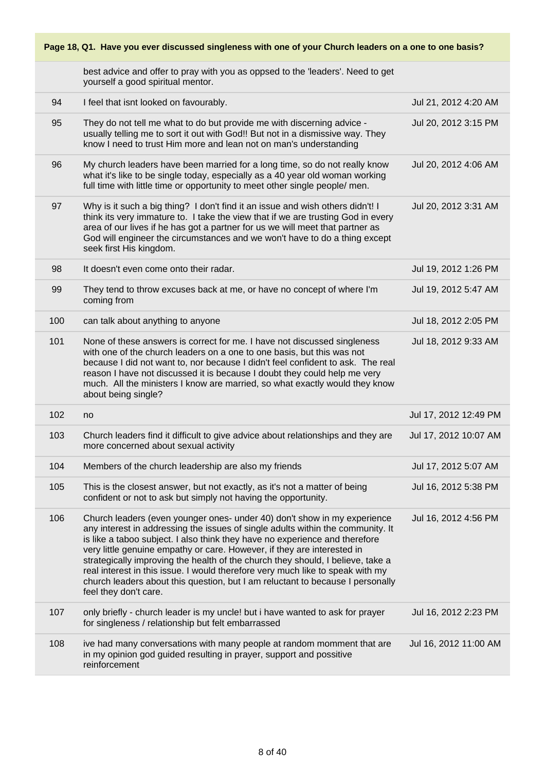|     | best advice and offer to pray with you as oppsed to the 'leaders'. Need to get<br>yourself a good spiritual mentor.                                                                                                                                                                                                                                                                                                                                                                                                                                                                                   |                       |
|-----|-------------------------------------------------------------------------------------------------------------------------------------------------------------------------------------------------------------------------------------------------------------------------------------------------------------------------------------------------------------------------------------------------------------------------------------------------------------------------------------------------------------------------------------------------------------------------------------------------------|-----------------------|
| 94  | I feel that isnt looked on favourably.                                                                                                                                                                                                                                                                                                                                                                                                                                                                                                                                                                | Jul 21, 2012 4:20 AM  |
| 95  | They do not tell me what to do but provide me with discerning advice -<br>usually telling me to sort it out with God!! But not in a dismissive way. They<br>know I need to trust Him more and lean not on man's understanding                                                                                                                                                                                                                                                                                                                                                                         | Jul 20, 2012 3:15 PM  |
| 96  | My church leaders have been married for a long time, so do not really know<br>what it's like to be single today, especially as a 40 year old woman working<br>full time with little time or opportunity to meet other single people/ men.                                                                                                                                                                                                                                                                                                                                                             | Jul 20, 2012 4:06 AM  |
| 97  | Why is it such a big thing? I don't find it an issue and wish others didn't! I<br>think its very immature to. I take the view that if we are trusting God in every<br>area of our lives if he has got a partner for us we will meet that partner as<br>God will engineer the circumstances and we won't have to do a thing except<br>seek first His kingdom.                                                                                                                                                                                                                                          | Jul 20, 2012 3:31 AM  |
| 98  | It doesn't even come onto their radar.                                                                                                                                                                                                                                                                                                                                                                                                                                                                                                                                                                | Jul 19, 2012 1:26 PM  |
| 99  | They tend to throw excuses back at me, or have no concept of where I'm<br>coming from                                                                                                                                                                                                                                                                                                                                                                                                                                                                                                                 | Jul 19, 2012 5:47 AM  |
| 100 | can talk about anything to anyone                                                                                                                                                                                                                                                                                                                                                                                                                                                                                                                                                                     | Jul 18, 2012 2:05 PM  |
| 101 | None of these answers is correct for me. I have not discussed singleness<br>with one of the church leaders on a one to one basis, but this was not<br>because I did not want to, nor because I didn't feel confident to ask. The real<br>reason I have not discussed it is because I doubt they could help me very<br>much. All the ministers I know are married, so what exactly would they know<br>about being single?                                                                                                                                                                              | Jul 18, 2012 9:33 AM  |
| 102 | no                                                                                                                                                                                                                                                                                                                                                                                                                                                                                                                                                                                                    | Jul 17, 2012 12:49 PM |
| 103 | Church leaders find it difficult to give advice about relationships and they are<br>more concerned about sexual activity                                                                                                                                                                                                                                                                                                                                                                                                                                                                              | Jul 17, 2012 10:07 AM |
| 104 | Members of the church leadership are also my friends                                                                                                                                                                                                                                                                                                                                                                                                                                                                                                                                                  | Jul 17, 2012 5:07 AM  |
| 105 | This is the closest answer, but not exactly, as it's not a matter of being<br>confident or not to ask but simply not having the opportunity.                                                                                                                                                                                                                                                                                                                                                                                                                                                          | Jul 16, 2012 5:38 PM  |
| 106 | Church leaders (even younger ones- under 40) don't show in my experience<br>any interest in addressing the issues of single adults within the community. It<br>is like a taboo subject. I also think they have no experience and therefore<br>very little genuine empathy or care. However, if they are interested in<br>strategically improving the health of the church they should, I believe, take a<br>real interest in this issue. I would therefore very much like to speak with my<br>church leaders about this question, but I am reluctant to because I personally<br>feel they don't care. | Jul 16, 2012 4:56 PM  |
| 107 | only briefly - church leader is my uncle! but i have wanted to ask for prayer<br>for singleness / relationship but felt embarrassed                                                                                                                                                                                                                                                                                                                                                                                                                                                                   | Jul 16, 2012 2:23 PM  |
| 108 | ive had many conversations with many people at random momment that are<br>in my opinion god guided resulting in prayer, support and possitive                                                                                                                                                                                                                                                                                                                                                                                                                                                         | Jul 16, 2012 11:00 AM |

reinforcement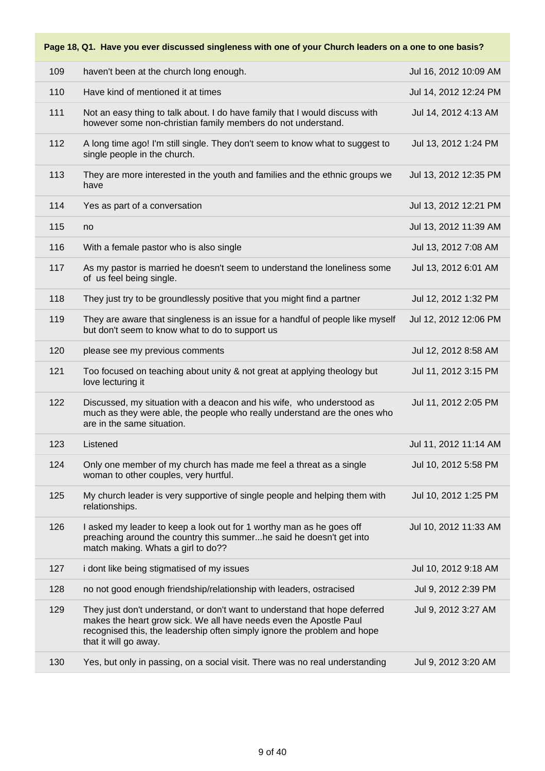| 109 | haven't been at the church long enough.                                                                                                                                                                                                               | Jul 16, 2012 10:09 AM |
|-----|-------------------------------------------------------------------------------------------------------------------------------------------------------------------------------------------------------------------------------------------------------|-----------------------|
| 110 | Have kind of mentioned it at times                                                                                                                                                                                                                    | Jul 14, 2012 12:24 PM |
| 111 | Not an easy thing to talk about. I do have family that I would discuss with<br>however some non-christian family members do not understand.                                                                                                           | Jul 14, 2012 4:13 AM  |
| 112 | A long time ago! I'm still single. They don't seem to know what to suggest to<br>single people in the church.                                                                                                                                         | Jul 13, 2012 1:24 PM  |
| 113 | They are more interested in the youth and families and the ethnic groups we<br>have                                                                                                                                                                   | Jul 13, 2012 12:35 PM |
| 114 | Yes as part of a conversation                                                                                                                                                                                                                         | Jul 13, 2012 12:21 PM |
| 115 | no                                                                                                                                                                                                                                                    | Jul 13, 2012 11:39 AM |
| 116 | With a female pastor who is also single                                                                                                                                                                                                               | Jul 13, 2012 7:08 AM  |
| 117 | As my pastor is married he doesn't seem to understand the loneliness some<br>of us feel being single.                                                                                                                                                 | Jul 13, 2012 6:01 AM  |
| 118 | They just try to be groundlessly positive that you might find a partner                                                                                                                                                                               | Jul 12, 2012 1:32 PM  |
| 119 | They are aware that singleness is an issue for a handful of people like myself<br>but don't seem to know what to do to support us                                                                                                                     | Jul 12, 2012 12:06 PM |
| 120 | please see my previous comments                                                                                                                                                                                                                       | Jul 12, 2012 8:58 AM  |
| 121 | Too focused on teaching about unity & not great at applying theology but<br>love lecturing it                                                                                                                                                         | Jul 11, 2012 3:15 PM  |
| 122 | Discussed, my situation with a deacon and his wife, who understood as<br>much as they were able, the people who really understand are the ones who<br>are in the same situation.                                                                      | Jul 11, 2012 2:05 PM  |
| 123 | Listened                                                                                                                                                                                                                                              | Jul 11, 2012 11:14 AM |
| 124 | Only one member of my church has made me feel a threat as a single<br>woman to other couples, very hurtful.                                                                                                                                           | Jul 10, 2012 5:58 PM  |
| 125 | My church leader is very supportive of single people and helping them with<br>relationships.                                                                                                                                                          | Jul 10, 2012 1:25 PM  |
| 126 | I asked my leader to keep a look out for 1 worthy man as he goes off<br>preaching around the country this summerhe said he doesn't get into<br>match making. Whats a girl to do??                                                                     | Jul 10, 2012 11:33 AM |
| 127 | i dont like being stigmatised of my issues                                                                                                                                                                                                            | Jul 10, 2012 9:18 AM  |
| 128 | no not good enough friendship/relationship with leaders, ostracised                                                                                                                                                                                   | Jul 9, 2012 2:39 PM   |
| 129 | They just don't understand, or don't want to understand that hope deferred<br>makes the heart grow sick. We all have needs even the Apostle Paul<br>recognised this, the leadership often simply ignore the problem and hope<br>that it will go away. | Jul 9, 2012 3:27 AM   |
| 130 | Yes, but only in passing, on a social visit. There was no real understanding                                                                                                                                                                          | Jul 9, 2012 3:20 AM   |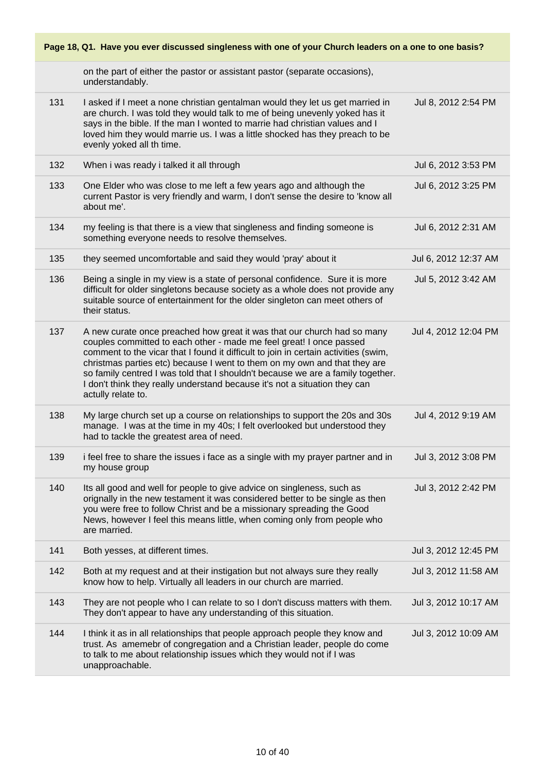| Page 18, Q1. Have you ever discussed singleness with one of your Church leaders on a one to one basis? |                                                                                                                                                                                                                                                                                                                                                                                                                                                                                                           |                      |  |
|--------------------------------------------------------------------------------------------------------|-----------------------------------------------------------------------------------------------------------------------------------------------------------------------------------------------------------------------------------------------------------------------------------------------------------------------------------------------------------------------------------------------------------------------------------------------------------------------------------------------------------|----------------------|--|
|                                                                                                        | on the part of either the pastor or assistant pastor (separate occasions),<br>understandably.                                                                                                                                                                                                                                                                                                                                                                                                             |                      |  |
| 131                                                                                                    | I asked if I meet a none christian gentalman would they let us get married in<br>are church. I was told they would talk to me of being unevenly yoked has it<br>says in the bible. If the man I wonted to marrie had christian values and I<br>loved him they would marrie us. I was a little shocked has they preach to be<br>evenly yoked all th time.                                                                                                                                                  | Jul 8, 2012 2:54 PM  |  |
| 132                                                                                                    | When i was ready i talked it all through                                                                                                                                                                                                                                                                                                                                                                                                                                                                  | Jul 6, 2012 3:53 PM  |  |
| 133                                                                                                    | One Elder who was close to me left a few years ago and although the<br>current Pastor is very friendly and warm, I don't sense the desire to 'know all<br>about me'.                                                                                                                                                                                                                                                                                                                                      | Jul 6, 2012 3:25 PM  |  |
| 134                                                                                                    | my feeling is that there is a view that singleness and finding someone is<br>something everyone needs to resolve themselves.                                                                                                                                                                                                                                                                                                                                                                              | Jul 6, 2012 2:31 AM  |  |
| 135                                                                                                    | they seemed uncomfortable and said they would 'pray' about it                                                                                                                                                                                                                                                                                                                                                                                                                                             | Jul 6, 2012 12:37 AM |  |
| 136                                                                                                    | Being a single in my view is a state of personal confidence. Sure it is more<br>difficult for older singletons because society as a whole does not provide any<br>suitable source of entertainment for the older singleton can meet others of<br>their status.                                                                                                                                                                                                                                            | Jul 5, 2012 3:42 AM  |  |
| 137                                                                                                    | A new curate once preached how great it was that our church had so many<br>couples committed to each other - made me feel great! I once passed<br>comment to the vicar that I found it difficult to join in certain activities (swim,<br>christmas parties etc) because I went to them on my own and that they are<br>so family centred I was told that I shouldn't because we are a family together.<br>I don't think they really understand because it's not a situation they can<br>actully relate to. | Jul 4, 2012 12:04 PM |  |
| 138                                                                                                    | My large church set up a course on relationships to support the 20s and 30s<br>manage. I was at the time in my 40s; I felt overlooked but understood they<br>had to tackle the greatest area of need.                                                                                                                                                                                                                                                                                                     | Jul 4, 2012 9:19 AM  |  |
| 139                                                                                                    | i feel free to share the issues i face as a single with my prayer partner and in<br>my house group                                                                                                                                                                                                                                                                                                                                                                                                        | Jul 3, 2012 3:08 PM  |  |
| 140                                                                                                    | Its all good and well for people to give advice on singleness, such as<br>orignally in the new testament it was considered better to be single as then<br>you were free to follow Christ and be a missionary spreading the Good<br>News, however I feel this means little, when coming only from people who<br>are married.                                                                                                                                                                               | Jul 3, 2012 2:42 PM  |  |
| 141                                                                                                    | Both yesses, at different times.                                                                                                                                                                                                                                                                                                                                                                                                                                                                          | Jul 3, 2012 12:45 PM |  |
| 142                                                                                                    | Both at my request and at their instigation but not always sure they really<br>know how to help. Virtually all leaders in our church are married.                                                                                                                                                                                                                                                                                                                                                         | Jul 3, 2012 11:58 AM |  |
| 143                                                                                                    | They are not people who I can relate to so I don't discuss matters with them.<br>They don't appear to have any understanding of this situation.                                                                                                                                                                                                                                                                                                                                                           | Jul 3, 2012 10:17 AM |  |
| 144                                                                                                    | I think it as in all relationships that people approach people they know and<br>trust. As amemebr of congregation and a Christian leader, people do come<br>to talk to me about relationship issues which they would not if I was<br>unapproachable.                                                                                                                                                                                                                                                      | Jul 3, 2012 10:09 AM |  |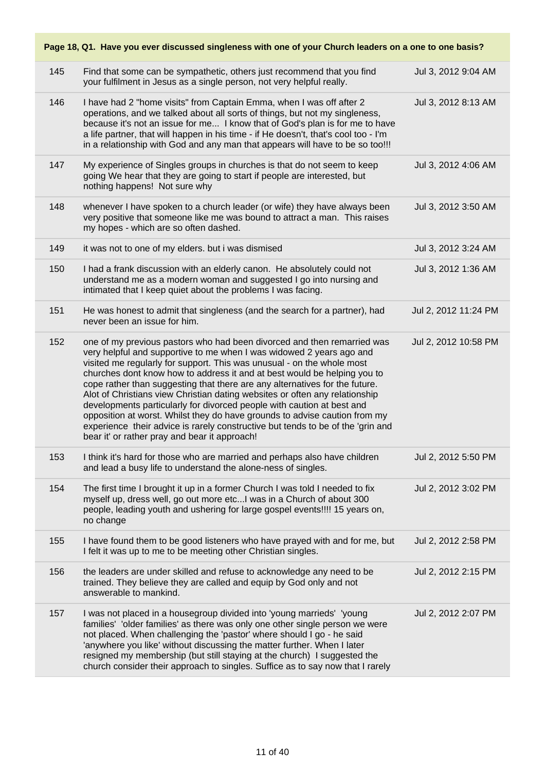| Page 18, Q1. Have you ever discussed singleness with one of your Church leaders on a one to one basis? |                                                                                                                                                                                                                                                                                                                                                                                                                                                                                                                                                                                                                                                                                                                                                                 |                      |  |
|--------------------------------------------------------------------------------------------------------|-----------------------------------------------------------------------------------------------------------------------------------------------------------------------------------------------------------------------------------------------------------------------------------------------------------------------------------------------------------------------------------------------------------------------------------------------------------------------------------------------------------------------------------------------------------------------------------------------------------------------------------------------------------------------------------------------------------------------------------------------------------------|----------------------|--|
| 145                                                                                                    | Find that some can be sympathetic, others just recommend that you find<br>your fulfilment in Jesus as a single person, not very helpful really.                                                                                                                                                                                                                                                                                                                                                                                                                                                                                                                                                                                                                 | Jul 3, 2012 9:04 AM  |  |
| 146                                                                                                    | I have had 2 "home visits" from Captain Emma, when I was off after 2<br>operations, and we talked about all sorts of things, but not my singleness,<br>because it's not an issue for me I know that of God's plan is for me to have<br>a life partner, that will happen in his time - if He doesn't, that's cool too - I'm<br>in a relationship with God and any man that appears will have to be so too!!!                                                                                                                                                                                                                                                                                                                                                     | Jul 3, 2012 8:13 AM  |  |
| 147                                                                                                    | My experience of Singles groups in churches is that do not seem to keep<br>going We hear that they are going to start if people are interested, but<br>nothing happens! Not sure why                                                                                                                                                                                                                                                                                                                                                                                                                                                                                                                                                                            | Jul 3, 2012 4:06 AM  |  |
| 148                                                                                                    | whenever I have spoken to a church leader (or wife) they have always been<br>very positive that someone like me was bound to attract a man. This raises<br>my hopes - which are so often dashed.                                                                                                                                                                                                                                                                                                                                                                                                                                                                                                                                                                | Jul 3, 2012 3:50 AM  |  |
| 149                                                                                                    | it was not to one of my elders. but i was dismised                                                                                                                                                                                                                                                                                                                                                                                                                                                                                                                                                                                                                                                                                                              | Jul 3, 2012 3:24 AM  |  |
| 150                                                                                                    | I had a frank discussion with an elderly canon. He absolutely could not<br>understand me as a modern woman and suggested I go into nursing and<br>intimated that I keep quiet about the problems I was facing.                                                                                                                                                                                                                                                                                                                                                                                                                                                                                                                                                  | Jul 3, 2012 1:36 AM  |  |
| 151                                                                                                    | He was honest to admit that singleness (and the search for a partner), had<br>never been an issue for him.                                                                                                                                                                                                                                                                                                                                                                                                                                                                                                                                                                                                                                                      | Jul 2, 2012 11:24 PM |  |
| 152                                                                                                    | one of my previous pastors who had been divorced and then remarried was<br>very helpful and supportive to me when I was widowed 2 years ago and<br>visited me regularly for support. This was unusual - on the whole most<br>churches dont know how to address it and at best would be helping you to<br>cope rather than suggesting that there are any alternatives for the future.<br>Alot of Christians view Christian dating websites or often any relationship<br>developments particularly for divorced people with caution at best and<br>opposition at worst. Whilst they do have grounds to advise caution from my<br>experience their advice is rarely constructive but tends to be of the 'grin and<br>bear it' or rather pray and bear it approach! | Jul 2, 2012 10:58 PM |  |
| 153                                                                                                    | I think it's hard for those who are married and perhaps also have children<br>and lead a busy life to understand the alone-ness of singles.                                                                                                                                                                                                                                                                                                                                                                                                                                                                                                                                                                                                                     | Jul 2, 2012 5:50 PM  |  |
| 154                                                                                                    | The first time I brought it up in a former Church I was told I needed to fix<br>myself up, dress well, go out more etc I was in a Church of about 300<br>people, leading youth and ushering for large gospel events!!!! 15 years on,<br>no change                                                                                                                                                                                                                                                                                                                                                                                                                                                                                                               | Jul 2, 2012 3:02 PM  |  |
| 155                                                                                                    | I have found them to be good listeners who have prayed with and for me, but<br>I felt it was up to me to be meeting other Christian singles.                                                                                                                                                                                                                                                                                                                                                                                                                                                                                                                                                                                                                    | Jul 2, 2012 2:58 PM  |  |
| 156                                                                                                    | the leaders are under skilled and refuse to acknowledge any need to be<br>trained. They believe they are called and equip by God only and not<br>answerable to mankind.                                                                                                                                                                                                                                                                                                                                                                                                                                                                                                                                                                                         | Jul 2, 2012 2:15 PM  |  |
| 157                                                                                                    | I was not placed in a housegroup divided into 'young marrieds' 'young<br>families' 'older families' as there was only one other single person we were<br>not placed. When challenging the 'pastor' where should I go - he said<br>'anywhere you like' without discussing the matter further. When I later<br>resigned my membership (but still staying at the church) I suggested the<br>church consider their approach to singles. Suffice as to say now that I rarely                                                                                                                                                                                                                                                                                         | Jul 2, 2012 2:07 PM  |  |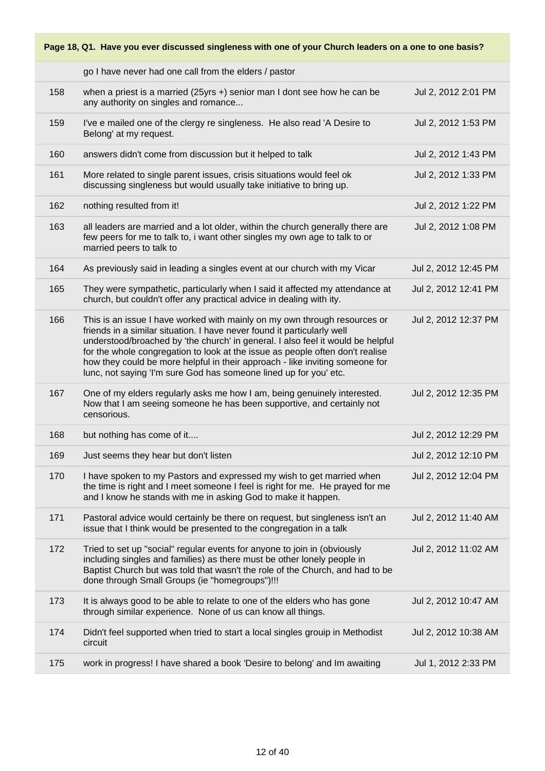|     | go I have never had one call from the elders / pastor                                                                                                                                                                                                                                                                                                                                                                                                                         |                      |
|-----|-------------------------------------------------------------------------------------------------------------------------------------------------------------------------------------------------------------------------------------------------------------------------------------------------------------------------------------------------------------------------------------------------------------------------------------------------------------------------------|----------------------|
| 158 | when a priest is a married (25yrs $+$ ) senior man I dont see how he can be<br>any authority on singles and romance                                                                                                                                                                                                                                                                                                                                                           | Jul 2, 2012 2:01 PM  |
| 159 | I've e mailed one of the clergy re singleness. He also read 'A Desire to<br>Belong' at my request.                                                                                                                                                                                                                                                                                                                                                                            | Jul 2, 2012 1:53 PM  |
| 160 | answers didn't come from discussion but it helped to talk                                                                                                                                                                                                                                                                                                                                                                                                                     | Jul 2, 2012 1:43 PM  |
| 161 | More related to single parent issues, crisis situations would feel ok<br>discussing singleness but would usually take initiative to bring up.                                                                                                                                                                                                                                                                                                                                 | Jul 2, 2012 1:33 PM  |
| 162 | nothing resulted from it!                                                                                                                                                                                                                                                                                                                                                                                                                                                     | Jul 2, 2012 1:22 PM  |
| 163 | all leaders are married and a lot older, within the church generally there are<br>few peers for me to talk to, i want other singles my own age to talk to or<br>married peers to talk to                                                                                                                                                                                                                                                                                      | Jul 2, 2012 1:08 PM  |
| 164 | As previously said in leading a singles event at our church with my Vicar                                                                                                                                                                                                                                                                                                                                                                                                     | Jul 2, 2012 12:45 PM |
| 165 | They were sympathetic, particularly when I said it affected my attendance at<br>church, but couldn't offer any practical advice in dealing with ity.                                                                                                                                                                                                                                                                                                                          | Jul 2, 2012 12:41 PM |
| 166 | This is an issue I have worked with mainly on my own through resources or<br>friends in a similar situation. I have never found it particularly well<br>understood/broached by 'the church' in general. I also feel it would be helpful<br>for the whole congregation to look at the issue as people often don't realise<br>how they could be more helpful in their approach - like inviting someone for<br>lunc, not saying 'I'm sure God has someone lined up for you' etc. | Jul 2, 2012 12:37 PM |
| 167 | One of my elders regularly asks me how I am, being genuinely interested.<br>Now that I am seeing someone he has been supportive, and certainly not<br>censorious.                                                                                                                                                                                                                                                                                                             | Jul 2, 2012 12:35 PM |
| 168 | but nothing has come of it                                                                                                                                                                                                                                                                                                                                                                                                                                                    | Jul 2, 2012 12:29 PM |
| 169 | Just seems they hear but don't listen                                                                                                                                                                                                                                                                                                                                                                                                                                         | Jul 2, 2012 12:10 PM |
| 170 | I have spoken to my Pastors and expressed my wish to get married when<br>the time is right and I meet someone I feel is right for me. He prayed for me<br>and I know he stands with me in asking God to make it happen.                                                                                                                                                                                                                                                       | Jul 2, 2012 12:04 PM |
| 171 | Pastoral advice would certainly be there on request, but singleness isn't an<br>issue that I think would be presented to the congregation in a talk                                                                                                                                                                                                                                                                                                                           | Jul 2, 2012 11:40 AM |
| 172 | Tried to set up "social" regular events for anyone to join in (obviously<br>including singles and families) as there must be other lonely people in<br>Baptist Church but was told that wasn't the role of the Church, and had to be<br>done through Small Groups (ie "homegroups")!!!                                                                                                                                                                                        | Jul 2, 2012 11:02 AM |
| 173 | It is always good to be able to relate to one of the elders who has gone<br>through similar experience. None of us can know all things.                                                                                                                                                                                                                                                                                                                                       | Jul 2, 2012 10:47 AM |
| 174 | Didn't feel supported when tried to start a local singles grouip in Methodist<br>circuit                                                                                                                                                                                                                                                                                                                                                                                      | Jul 2, 2012 10:38 AM |
| 175 | work in progress! I have shared a book 'Desire to belong' and Im awaiting                                                                                                                                                                                                                                                                                                                                                                                                     | Jul 1, 2012 2:33 PM  |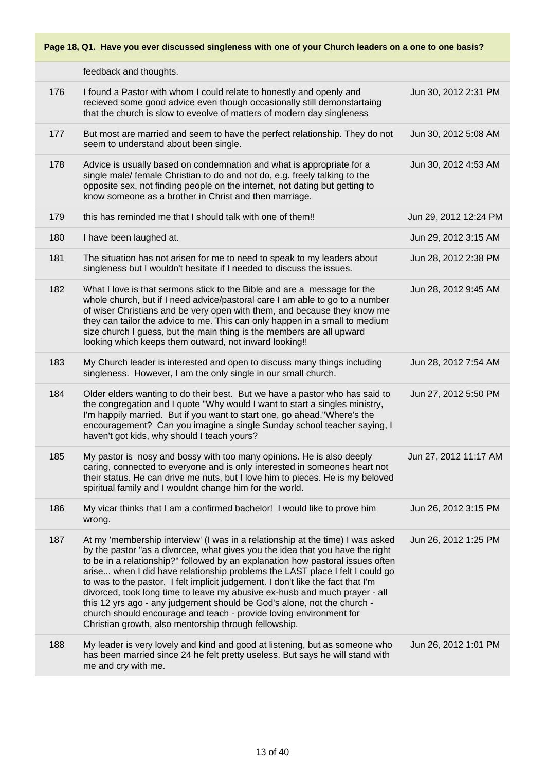|     | feedback and thoughts.                                                                                                                                                                                                                                                                                                                                                                                                                                                                                                                                                                                                                                                                                       |                       |
|-----|--------------------------------------------------------------------------------------------------------------------------------------------------------------------------------------------------------------------------------------------------------------------------------------------------------------------------------------------------------------------------------------------------------------------------------------------------------------------------------------------------------------------------------------------------------------------------------------------------------------------------------------------------------------------------------------------------------------|-----------------------|
| 176 | I found a Pastor with whom I could relate to honestly and openly and<br>recieved some good advice even though occasionally still demonstartaing<br>that the church is slow to eveolve of matters of modern day singleness                                                                                                                                                                                                                                                                                                                                                                                                                                                                                    | Jun 30, 2012 2:31 PM  |
| 177 | But most are married and seem to have the perfect relationship. They do not<br>seem to understand about been single.                                                                                                                                                                                                                                                                                                                                                                                                                                                                                                                                                                                         | Jun 30, 2012 5:08 AM  |
| 178 | Advice is usually based on condemnation and what is appropriate for a<br>single male/ female Christian to do and not do, e.g. freely talking to the<br>opposite sex, not finding people on the internet, not dating but getting to<br>know someone as a brother in Christ and then marriage.                                                                                                                                                                                                                                                                                                                                                                                                                 | Jun 30, 2012 4:53 AM  |
| 179 | this has reminded me that I should talk with one of them!!                                                                                                                                                                                                                                                                                                                                                                                                                                                                                                                                                                                                                                                   | Jun 29, 2012 12:24 PM |
| 180 | I have been laughed at.                                                                                                                                                                                                                                                                                                                                                                                                                                                                                                                                                                                                                                                                                      | Jun 29, 2012 3:15 AM  |
| 181 | The situation has not arisen for me to need to speak to my leaders about<br>singleness but I wouldn't hesitate if I needed to discuss the issues.                                                                                                                                                                                                                                                                                                                                                                                                                                                                                                                                                            | Jun 28, 2012 2:38 PM  |
| 182 | What I love is that sermons stick to the Bible and are a message for the<br>whole church, but if I need advice/pastoral care I am able to go to a number<br>of wiser Christians and be very open with them, and because they know me<br>they can tailor the advice to me. This can only happen in a small to medium<br>size church I guess, but the main thing is the members are all upward<br>looking which keeps them outward, not inward looking!!                                                                                                                                                                                                                                                       | Jun 28, 2012 9:45 AM  |
| 183 | My Church leader is interested and open to discuss many things including<br>singleness. However, I am the only single in our small church.                                                                                                                                                                                                                                                                                                                                                                                                                                                                                                                                                                   | Jun 28, 2012 7:54 AM  |
| 184 | Older elders wanting to do their best. But we have a pastor who has said to<br>the congregation and I quote "Why would I want to start a singles ministry,<br>I'm happily married. But if you want to start one, go ahead."Where's the<br>encouragement? Can you imagine a single Sunday school teacher saying, I<br>haven't got kids, why should I teach yours?                                                                                                                                                                                                                                                                                                                                             | Jun 27, 2012 5:50 PM  |
| 185 | My pastor is nosy and bossy with too many opinions. He is also deeply<br>caring, connected to everyone and is only interested in someones heart not<br>their status. He can drive me nuts, but I love him to pieces. He is my beloved<br>spiritual family and I wouldnt change him for the world.                                                                                                                                                                                                                                                                                                                                                                                                            | Jun 27, 2012 11:17 AM |
| 186 | My vicar thinks that I am a confirmed bachelor! I would like to prove him<br>wrong.                                                                                                                                                                                                                                                                                                                                                                                                                                                                                                                                                                                                                          | Jun 26, 2012 3:15 PM  |
| 187 | At my 'membership interview' (I was in a relationship at the time) I was asked<br>by the pastor "as a divorcee, what gives you the idea that you have the right<br>to be in a relationship?" followed by an explanation how pastoral issues often<br>arise when I did have relationship problems the LAST place I felt I could go<br>to was to the pastor. I felt implicit judgement. I don't like the fact that I'm<br>divorced, took long time to leave my abusive ex-husb and much prayer - all<br>this 12 yrs ago - any judgement should be God's alone, not the church -<br>church should encourage and teach - provide loving environment for<br>Christian growth, also mentorship through fellowship. | Jun 26, 2012 1:25 PM  |
| 188 | My leader is very lovely and kind and good at listening, but as someone who<br>has been married since 24 he felt pretty useless. But says he will stand with<br>me and cry with me.                                                                                                                                                                                                                                                                                                                                                                                                                                                                                                                          | Jun 26, 2012 1:01 PM  |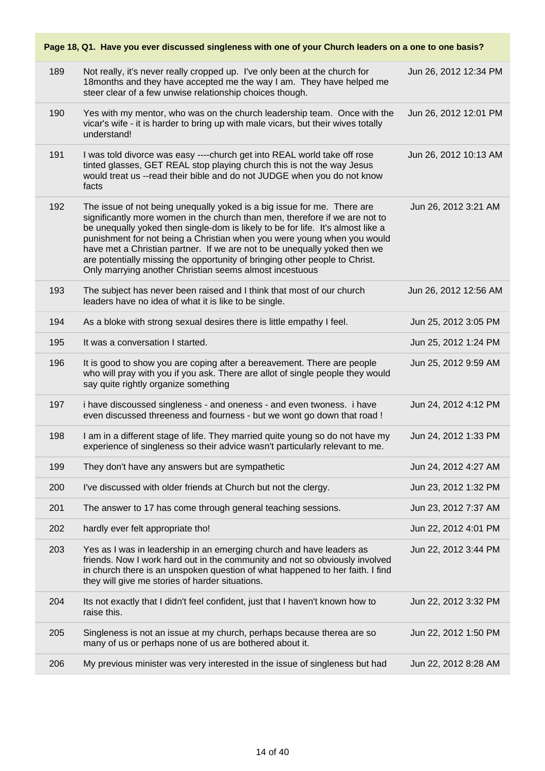| Page 18, Q1. Have you ever discussed singleness with one of your Church leaders on a one to one basis? |                                                                                                                                                                                                                                                                                                                                                                                                                                                                                                                                             |                       |  |
|--------------------------------------------------------------------------------------------------------|---------------------------------------------------------------------------------------------------------------------------------------------------------------------------------------------------------------------------------------------------------------------------------------------------------------------------------------------------------------------------------------------------------------------------------------------------------------------------------------------------------------------------------------------|-----------------------|--|
| 189                                                                                                    | Not really, it's never really cropped up. I've only been at the church for<br>18 months and they have accepted me the way I am. They have helped me<br>steer clear of a few unwise relationship choices though.                                                                                                                                                                                                                                                                                                                             | Jun 26, 2012 12:34 PM |  |
| 190                                                                                                    | Yes with my mentor, who was on the church leadership team. Once with the<br>vicar's wife - it is harder to bring up with male vicars, but their wives totally<br>understand!                                                                                                                                                                                                                                                                                                                                                                | Jun 26, 2012 12:01 PM |  |
| 191                                                                                                    | I was told divorce was easy ----church get into REAL world take off rose<br>tinted glasses, GET REAL stop playing church this is not the way Jesus<br>would treat us --read their bible and do not JUDGE when you do not know<br>facts                                                                                                                                                                                                                                                                                                      | Jun 26, 2012 10:13 AM |  |
| 192                                                                                                    | The issue of not being unequally yoked is a big issue for me. There are<br>significantly more women in the church than men, therefore if we are not to<br>be unequally yoked then single-dom is likely to be for life. It's almost like a<br>punishment for not being a Christian when you were young when you would<br>have met a Christian partner. If we are not to be unequally yoked then we<br>are potentially missing the opportunity of bringing other people to Christ.<br>Only marrying another Christian seems almost incestuous | Jun 26, 2012 3:21 AM  |  |
| 193                                                                                                    | The subject has never been raised and I think that most of our church<br>leaders have no idea of what it is like to be single.                                                                                                                                                                                                                                                                                                                                                                                                              | Jun 26, 2012 12:56 AM |  |
| 194                                                                                                    | As a bloke with strong sexual desires there is little empathy I feel.                                                                                                                                                                                                                                                                                                                                                                                                                                                                       | Jun 25, 2012 3:05 PM  |  |
| 195                                                                                                    | It was a conversation I started.                                                                                                                                                                                                                                                                                                                                                                                                                                                                                                            | Jun 25, 2012 1:24 PM  |  |
| 196                                                                                                    | It is good to show you are coping after a bereavement. There are people<br>who will pray with you if you ask. There are allot of single people they would<br>say quite rightly organize something                                                                                                                                                                                                                                                                                                                                           | Jun 25, 2012 9:59 AM  |  |
| 197                                                                                                    | i have discoussed singleness - and oneness - and even twoness. i have<br>even discussed threeness and fourness - but we wont go down that road !                                                                                                                                                                                                                                                                                                                                                                                            | Jun 24, 2012 4:12 PM  |  |
| 198                                                                                                    | I am in a different stage of life. They married quite young so do not have my<br>experience of singleness so their advice wasn't particularly relevant to me.                                                                                                                                                                                                                                                                                                                                                                               | Jun 24, 2012 1:33 PM  |  |
| 199                                                                                                    | They don't have any answers but are sympathetic                                                                                                                                                                                                                                                                                                                                                                                                                                                                                             | Jun 24, 2012 4:27 AM  |  |
| 200                                                                                                    | I've discussed with older friends at Church but not the clergy.                                                                                                                                                                                                                                                                                                                                                                                                                                                                             | Jun 23, 2012 1:32 PM  |  |
| 201                                                                                                    | The answer to 17 has come through general teaching sessions.                                                                                                                                                                                                                                                                                                                                                                                                                                                                                | Jun 23, 2012 7:37 AM  |  |
| 202                                                                                                    | hardly ever felt appropriate tho!                                                                                                                                                                                                                                                                                                                                                                                                                                                                                                           | Jun 22, 2012 4:01 PM  |  |
| 203                                                                                                    | Yes as I was in leadership in an emerging church and have leaders as<br>friends. Now I work hard out in the community and not so obviously involved<br>in church there is an unspoken question of what happened to her faith. I find<br>they will give me stories of harder situations.                                                                                                                                                                                                                                                     | Jun 22, 2012 3:44 PM  |  |
| 204                                                                                                    | Its not exactly that I didn't feel confident, just that I haven't known how to<br>raise this.                                                                                                                                                                                                                                                                                                                                                                                                                                               | Jun 22, 2012 3:32 PM  |  |
| 205                                                                                                    | Singleness is not an issue at my church, perhaps because therea are so<br>many of us or perhaps none of us are bothered about it.                                                                                                                                                                                                                                                                                                                                                                                                           | Jun 22, 2012 1:50 PM  |  |
| 206                                                                                                    | My previous minister was very interested in the issue of singleness but had                                                                                                                                                                                                                                                                                                                                                                                                                                                                 | Jun 22, 2012 8:28 AM  |  |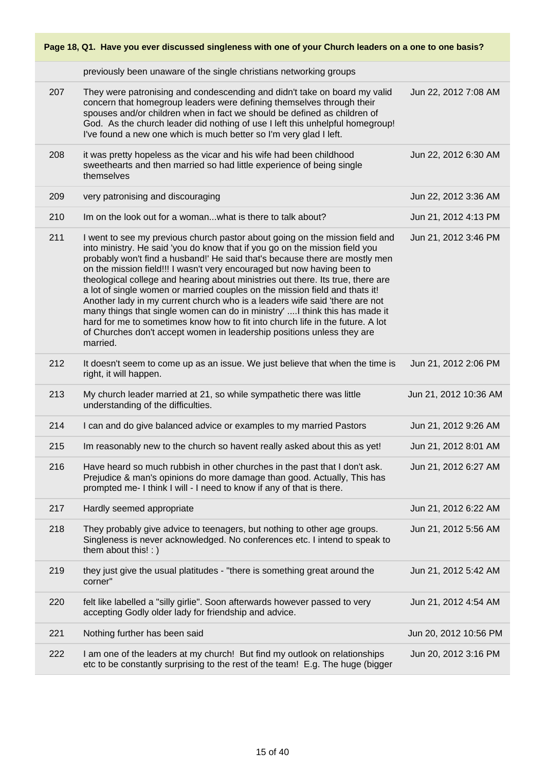**Page 18, Q1. Have you ever discussed singleness with one of your Church leaders on a one to one basis?** previously been unaware of the single christians networking groups 207 They were patronising and condescending and didn't take on board my valid concern that homegroup leaders were defining themselves through their spouses and/or children when in fact we should be defined as children of God. As the church leader did nothing of use I left this unhelpful homegroup! I've found a new one which is much better so I'm very glad I left. Jun 22, 2012 7:08 AM 208 it was pretty hopeless as the vicar and his wife had been childhood sweethearts and then married so had little experience of being single themselves Jun 22, 2012 6:30 AM 209 very patronising and discouraging Jun 22, 2012 3:36 AM 210 Im on the look out for a woman...what is there to talk about? Jun 21, 2012 4:13 PM 211 I went to see my previous church pastor about going on the mission field and into ministry. He said 'you do know that if you go on the mission field you probably won't find a husband!' He said that's because there are mostly men on the mission field!!! I wasn't very encouraged but now having been to theological college and hearing about ministries out there. Its true, there are a lot of single women or married couples on the mission field and thats it! Another lady in my current church who is a leaders wife said 'there are not many things that single women can do in ministry' ....I think this has made it hard for me to sometimes know how to fit into church life in the future. A lot of Churches don't accept women in leadership positions unless they are married. Jun 21, 2012 3:46 PM 212 It doesn't seem to come up as an issue. We just believe that when the time is right, it will happen. Jun 21, 2012 2:06 PM 213 My church leader married at 21, so while sympathetic there was little understanding of the difficulties. Jun 21, 2012 10:36 AM 214 I can and do give balanced advice or examples to my married Pastors Jun 21, 2012 9:26 AM 215 Im reasonably new to the church so havent really asked about this as yet! Jun 21, 2012 8:01 AM 216 Have heard so much rubbish in other churches in the past that I don't ask. Prejudice & man's opinions do more damage than good. Actually, This has prompted me- I think I will - I need to know if any of that is there. Jun 21, 2012 6:27 AM 217 Hardly seemed appropriate American Control of Control of Control of Control of Control of Control of Control of Control of Control of Control of Control of Control of Control of Control of Control of Control of Control 218 They probably give advice to teenagers, but nothing to other age groups. Singleness is never acknowledged. No conferences etc. I intend to speak to them about this! : ) Jun 21, 2012 5:56 AM 219 they just give the usual platitudes - "there is something great around the corner" Jun 21, 2012 5:42 AM 220 felt like labelled a "silly girlie". Soon afterwards however passed to very accepting Godly older lady for friendship and advice. Jun 21, 2012 4:54 AM 221 Nothing further has been said Jun 20, 2012 10:56 PM 222 I am one of the leaders at my church! But find my outlook on relationships etc to be constantly surprising to the rest of the team! E.g. The huge (bigger Jun 20, 2012 3:16 PM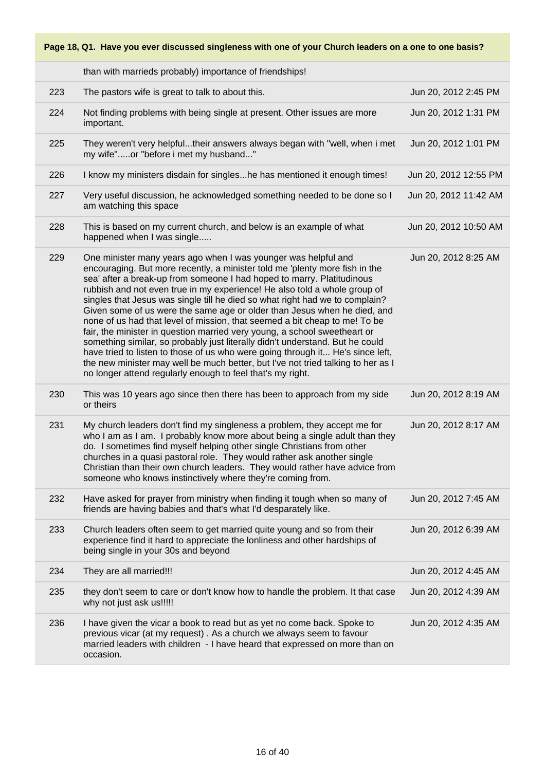|     | than with marrieds probably) importance of friendships!                                                                                                                                                                                                                                                                                                                                                                                                                                                                                                                                                                                                                                                                                                                                                                                                                                                                                          |                       |
|-----|--------------------------------------------------------------------------------------------------------------------------------------------------------------------------------------------------------------------------------------------------------------------------------------------------------------------------------------------------------------------------------------------------------------------------------------------------------------------------------------------------------------------------------------------------------------------------------------------------------------------------------------------------------------------------------------------------------------------------------------------------------------------------------------------------------------------------------------------------------------------------------------------------------------------------------------------------|-----------------------|
| 223 | The pastors wife is great to talk to about this.                                                                                                                                                                                                                                                                                                                                                                                                                                                                                                                                                                                                                                                                                                                                                                                                                                                                                                 | Jun 20, 2012 2:45 PM  |
| 224 | Not finding problems with being single at present. Other issues are more<br>important.                                                                                                                                                                                                                                                                                                                                                                                                                                                                                                                                                                                                                                                                                                                                                                                                                                                           | Jun 20, 2012 1:31 PM  |
| 225 | They weren't very helpfultheir answers always began with "well, when i met<br>my wife"or "before i met my husband"                                                                                                                                                                                                                                                                                                                                                                                                                                                                                                                                                                                                                                                                                                                                                                                                                               | Jun 20, 2012 1:01 PM  |
| 226 | I know my ministers disdain for singleshe has mentioned it enough times!                                                                                                                                                                                                                                                                                                                                                                                                                                                                                                                                                                                                                                                                                                                                                                                                                                                                         | Jun 20, 2012 12:55 PM |
| 227 | Very useful discussion, he acknowledged something needed to be done so I<br>am watching this space                                                                                                                                                                                                                                                                                                                                                                                                                                                                                                                                                                                                                                                                                                                                                                                                                                               | Jun 20, 2012 11:42 AM |
| 228 | This is based on my current church, and below is an example of what<br>happened when I was single                                                                                                                                                                                                                                                                                                                                                                                                                                                                                                                                                                                                                                                                                                                                                                                                                                                | Jun 20, 2012 10:50 AM |
| 229 | One minister many years ago when I was younger was helpful and<br>encouraging. But more recently, a minister told me 'plenty more fish in the<br>sea' after a break-up from someone I had hoped to marry. Platitudinous<br>rubbish and not even true in my experience! He also told a whole group of<br>singles that Jesus was single till he died so what right had we to complain?<br>Given some of us were the same age or older than Jesus when he died, and<br>none of us had that level of mission, that seemed a bit cheap to me! To be<br>fair, the minister in question married very young, a school sweetheart or<br>something similar, so probably just literally didn't understand. But he could<br>have tried to listen to those of us who were going through it He's since left,<br>the new minister may well be much better, but I've not tried talking to her as I<br>no longer attend regularly enough to feel that's my right. | Jun 20, 2012 8:25 AM  |
| 230 | This was 10 years ago since then there has been to approach from my side<br>or theirs                                                                                                                                                                                                                                                                                                                                                                                                                                                                                                                                                                                                                                                                                                                                                                                                                                                            | Jun 20, 2012 8:19 AM  |
| 231 | My church leaders don't find my singleness a problem, they accept me for<br>who I am as I am. I probably know more about being a single adult than they<br>do. I sometimes find myself helping other single Christians from other<br>churches in a quasi pastoral role. They would rather ask another single<br>Christian than their own church leaders. They would rather have advice from<br>someone who knows instinctively where they're coming from.                                                                                                                                                                                                                                                                                                                                                                                                                                                                                        | Jun 20, 2012 8:17 AM  |
| 232 | Have asked for prayer from ministry when finding it tough when so many of<br>friends are having babies and that's what I'd desparately like.                                                                                                                                                                                                                                                                                                                                                                                                                                                                                                                                                                                                                                                                                                                                                                                                     | Jun 20, 2012 7:45 AM  |
| 233 | Church leaders often seem to get married quite young and so from their<br>experience find it hard to appreciate the lonliness and other hardships of<br>being single in your 30s and beyond                                                                                                                                                                                                                                                                                                                                                                                                                                                                                                                                                                                                                                                                                                                                                      | Jun 20, 2012 6:39 AM  |
| 234 | They are all married!!!                                                                                                                                                                                                                                                                                                                                                                                                                                                                                                                                                                                                                                                                                                                                                                                                                                                                                                                          | Jun 20, 2012 4:45 AM  |
| 235 | they don't seem to care or don't know how to handle the problem. It that case<br>why not just ask us!!!!!                                                                                                                                                                                                                                                                                                                                                                                                                                                                                                                                                                                                                                                                                                                                                                                                                                        | Jun 20, 2012 4:39 AM  |
| 236 | I have given the vicar a book to read but as yet no come back. Spoke to<br>previous vicar (at my request). As a church we always seem to favour<br>married leaders with children - I have heard that expressed on more than on<br>occasion.                                                                                                                                                                                                                                                                                                                                                                                                                                                                                                                                                                                                                                                                                                      | Jun 20, 2012 4:35 AM  |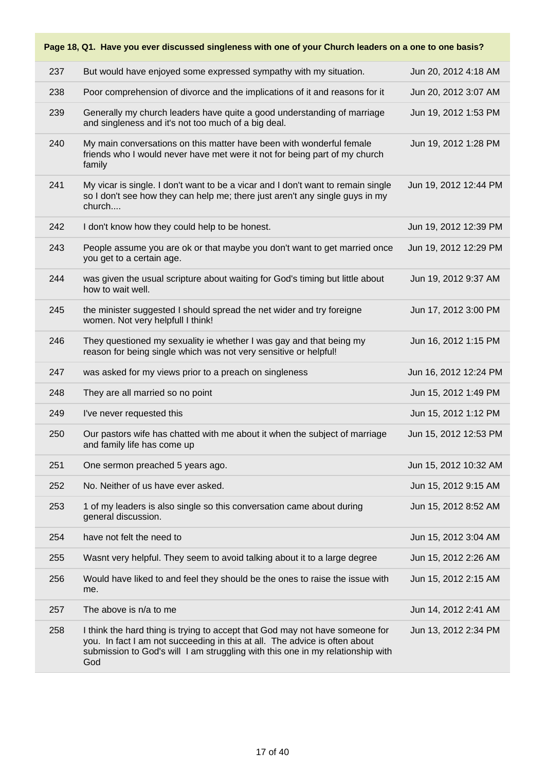**Page 18, Q1. Have you ever discussed singleness with one of your Church leaders on a one to one basis?** 237 But would have enjoyed some expressed sympathy with my situation. Jun 20, 2012 4:18 AM 238 Poor comprehension of divorce and the implications of it and reasons for it Jun 20, 2012 3:07 AM 239 Generally my church leaders have quite a good understanding of marriage and singleness and it's not too much of a big deal. Jun 19, 2012 1:53 PM 240 My main conversations on this matter have been with wonderful female friends who I would never have met were it not for being part of my church family Jun 19, 2012 1:28 PM 241 My vicar is single. I don't want to be a vicar and I don't want to remain single so I don't see how they can help me; there just aren't any single guys in my church.... Jun 19, 2012 12:44 PM 242 I don't know how they could help to be honest. Jun 19, 2012 12:39 PM 243 People assume you are ok or that maybe you don't want to get married once you get to a certain age. Jun 19, 2012 12:29 PM 244 was given the usual scripture about waiting for God's timing but little about how to wait well. Jun 19, 2012 9:37 AM 245 the minister suggested I should spread the net wider and try foreigne women. Not very helpfull I think! Jun 17, 2012 3:00 PM 246 They questioned my sexuality ie whether I was gay and that being my reason for being single which was not very sensitive or helpful! Jun 16, 2012 1:15 PM 247 was asked for my views prior to a preach on singleness Jun 16, 2012 12:24 PM 248 They are all married so no point 15, 2012 1:49 PM 249 I've never requested this Jun 15, 2012 1:12 PM 250 Our pastors wife has chatted with me about it when the subject of marriage and family life has come up Jun 15, 2012 12:53 PM 251 One sermon preached 5 years ago. Jun 15, 2012 10:32 AM 252 No. Neither of us have ever asked. Jun 15, 2012 9:15 AM 253 1 of my leaders is also single so this conversation came about during general discussion. Jun 15, 2012 8:52 AM 254 have not felt the need to Jun 15, 2012 3:04 AM 255 Wasnt very helpful. They seem to avoid talking about it to a large degree Jun 15, 2012 2:26 AM 256 Would have liked to and feel they should be the ones to raise the issue with me. Jun 15, 2012 2:15 AM 257 The above is n/a to me Jun 14, 2012 2:41 AM 258 I think the hard thing is trying to accept that God may not have someone for you. In fact I am not succeeding in this at all. The advice is often about submission to God's will I am struggling with this one in my relationship with God Jun 13, 2012 2:34 PM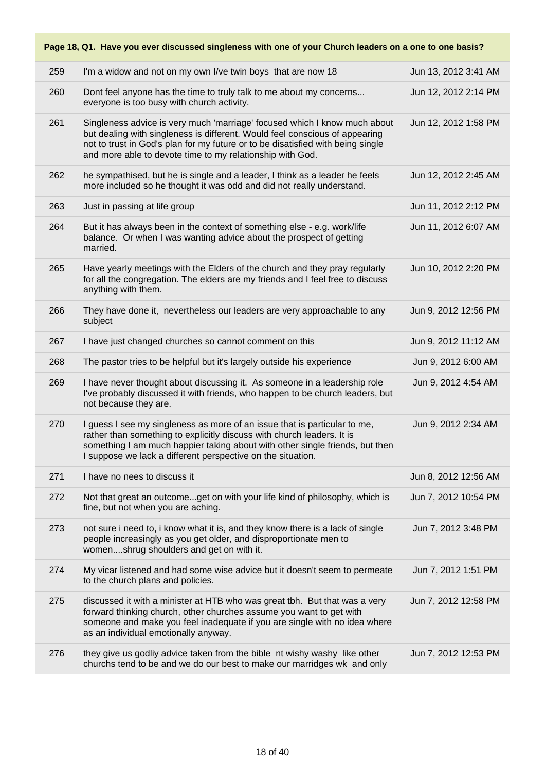|     | Page 18, Q1. Have you ever discussed singleness with one of your Church leaders on a one to one basis?                                                                                                                                                                                                   |                      |
|-----|----------------------------------------------------------------------------------------------------------------------------------------------------------------------------------------------------------------------------------------------------------------------------------------------------------|----------------------|
| 259 | I'm a widow and not on my own I/ve twin boys that are now 18                                                                                                                                                                                                                                             | Jun 13, 2012 3:41 AM |
| 260 | Dont feel anyone has the time to truly talk to me about my concerns<br>everyone is too busy with church activity.                                                                                                                                                                                        | Jun 12, 2012 2:14 PM |
| 261 | Singleness advice is very much 'marriage' focused which I know much about<br>but dealing with singleness is different. Would feel conscious of appearing<br>not to trust in God's plan for my future or to be disatisfied with being single<br>and more able to devote time to my relationship with God. | Jun 12, 2012 1:58 PM |
| 262 | he sympathised, but he is single and a leader, I think as a leader he feels<br>more included so he thought it was odd and did not really understand.                                                                                                                                                     | Jun 12, 2012 2:45 AM |
| 263 | Just in passing at life group                                                                                                                                                                                                                                                                            | Jun 11, 2012 2:12 PM |
| 264 | But it has always been in the context of something else - e.g. work/life<br>balance. Or when I was wanting advice about the prospect of getting<br>married.                                                                                                                                              | Jun 11, 2012 6:07 AM |
| 265 | Have yearly meetings with the Elders of the church and they pray regularly<br>for all the congregation. The elders are my friends and I feel free to discuss<br>anything with them.                                                                                                                      | Jun 10, 2012 2:20 PM |
| 266 | They have done it, nevertheless our leaders are very approachable to any<br>subject                                                                                                                                                                                                                      | Jun 9, 2012 12:56 PM |
| 267 | I have just changed churches so cannot comment on this                                                                                                                                                                                                                                                   | Jun 9, 2012 11:12 AM |
| 268 | The pastor tries to be helpful but it's largely outside his experience                                                                                                                                                                                                                                   | Jun 9, 2012 6:00 AM  |
| 269 | I have never thought about discussing it. As someone in a leadership role<br>I've probably discussed it with friends, who happen to be church leaders, but<br>not because they are.                                                                                                                      | Jun 9, 2012 4:54 AM  |
| 270 | I guess I see my singleness as more of an issue that is particular to me,<br>rather than something to explicitly discuss with church leaders. It is<br>something I am much happier taking about with other single friends, but then<br>I suppose we lack a different perspective on the situation.       | Jun 9, 2012 2:34 AM  |
| 271 | I have no nees to discuss it                                                                                                                                                                                                                                                                             | Jun 8, 2012 12:56 AM |
| 272 | Not that great an outcomeget on with your life kind of philosophy, which is<br>fine, but not when you are aching.                                                                                                                                                                                        | Jun 7, 2012 10:54 PM |
| 273 | not sure i need to, i know what it is, and they know there is a lack of single<br>people increasingly as you get older, and disproportionate men to<br>womenshrug shoulders and get on with it.                                                                                                          | Jun 7, 2012 3:48 PM  |
| 274 | My vicar listened and had some wise advice but it doesn't seem to permeate<br>to the church plans and policies.                                                                                                                                                                                          | Jun 7, 2012 1:51 PM  |
| 275 | discussed it with a minister at HTB who was great tbh. But that was a very<br>forward thinking church, other churches assume you want to get with<br>someone and make you feel inadequate if you are single with no idea where<br>as an individual emotionally anyway.                                   | Jun 7, 2012 12:58 PM |
| 276 | they give us godliy advice taken from the bible nt wishy washy like other<br>churchs tend to be and we do our best to make our marridges wk and only                                                                                                                                                     | Jun 7, 2012 12:53 PM |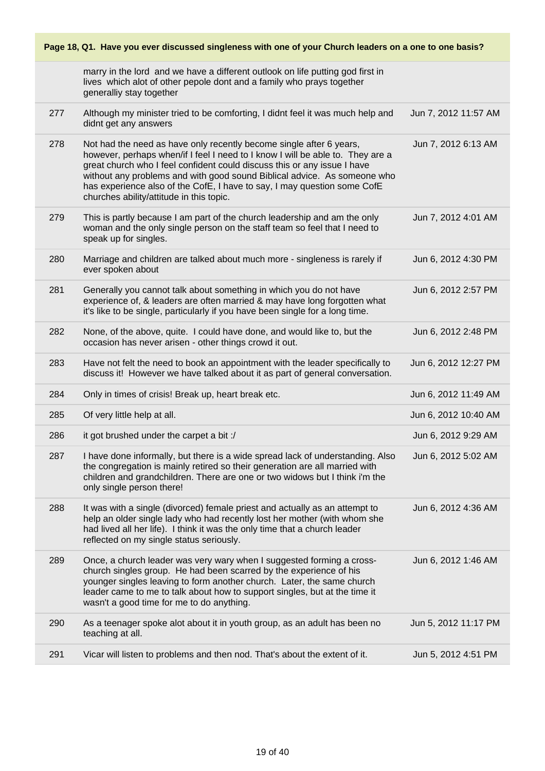|     | Page 18, Q1. Have you ever discussed singleness with one of your Church leaders on a one to one basis?                                                                                                                                                                                                                                                                                                                                |                      |
|-----|---------------------------------------------------------------------------------------------------------------------------------------------------------------------------------------------------------------------------------------------------------------------------------------------------------------------------------------------------------------------------------------------------------------------------------------|----------------------|
|     | marry in the lord and we have a different outlook on life putting god first in<br>lives which alot of other pepole dont and a family who prays together<br>generalliy stay together                                                                                                                                                                                                                                                   |                      |
| 277 | Although my minister tried to be comforting, I didnt feel it was much help and<br>didnt get any answers                                                                                                                                                                                                                                                                                                                               | Jun 7, 2012 11:57 AM |
| 278 | Not had the need as have only recently become single after 6 years,<br>however, perhaps when/if I feel I need to I know I will be able to. They are a<br>great church who I feel confident could discuss this or any issue I have<br>without any problems and with good sound Biblical advice. As someone who<br>has experience also of the CofE, I have to say, I may question some CofE<br>churches ability/attitude in this topic. | Jun 7, 2012 6:13 AM  |
| 279 | This is partly because I am part of the church leadership and am the only<br>woman and the only single person on the staff team so feel that I need to<br>speak up for singles.                                                                                                                                                                                                                                                       | Jun 7, 2012 4:01 AM  |
| 280 | Marriage and children are talked about much more - singleness is rarely if<br>ever spoken about                                                                                                                                                                                                                                                                                                                                       | Jun 6, 2012 4:30 PM  |
| 281 | Generally you cannot talk about something in which you do not have<br>experience of, & leaders are often married & may have long forgotten what<br>it's like to be single, particularly if you have been single for a long time.                                                                                                                                                                                                      | Jun 6, 2012 2:57 PM  |
| 282 | None, of the above, quite. I could have done, and would like to, but the<br>occasion has never arisen - other things crowd it out.                                                                                                                                                                                                                                                                                                    | Jun 6, 2012 2:48 PM  |
| 283 | Have not felt the need to book an appointment with the leader specifically to<br>discuss it! However we have talked about it as part of general conversation.                                                                                                                                                                                                                                                                         | Jun 6, 2012 12:27 PM |
| 284 | Only in times of crisis! Break up, heart break etc.                                                                                                                                                                                                                                                                                                                                                                                   | Jun 6, 2012 11:49 AM |
| 285 | Of very little help at all.                                                                                                                                                                                                                                                                                                                                                                                                           | Jun 6, 2012 10:40 AM |
| 286 | it got brushed under the carpet a bit :/                                                                                                                                                                                                                                                                                                                                                                                              | Jun 6, 2012 9:29 AM  |
| 287 | I have done informally, but there is a wide spread lack of understanding. Also<br>the congregation is mainly retired so their generation are all married with<br>children and grandchildren. There are one or two widows but I think i'm the<br>only single person there!                                                                                                                                                             | Jun 6, 2012 5:02 AM  |
| 288 | It was with a single (divorced) female priest and actually as an attempt to<br>help an older single lady who had recently lost her mother (with whom she<br>had lived all her life). I think it was the only time that a church leader<br>reflected on my single status seriously.                                                                                                                                                    | Jun 6, 2012 4:36 AM  |
| 289 | Once, a church leader was very wary when I suggested forming a cross-<br>church singles group. He had been scarred by the experience of his<br>younger singles leaving to form another church. Later, the same church<br>leader came to me to talk about how to support singles, but at the time it<br>wasn't a good time for me to do anything.                                                                                      | Jun 6, 2012 1:46 AM  |
| 290 | As a teenager spoke alot about it in youth group, as an adult has been no<br>teaching at all.                                                                                                                                                                                                                                                                                                                                         | Jun 5, 2012 11:17 PM |
| 291 | Vicar will listen to problems and then nod. That's about the extent of it.                                                                                                                                                                                                                                                                                                                                                            | Jun 5, 2012 4:51 PM  |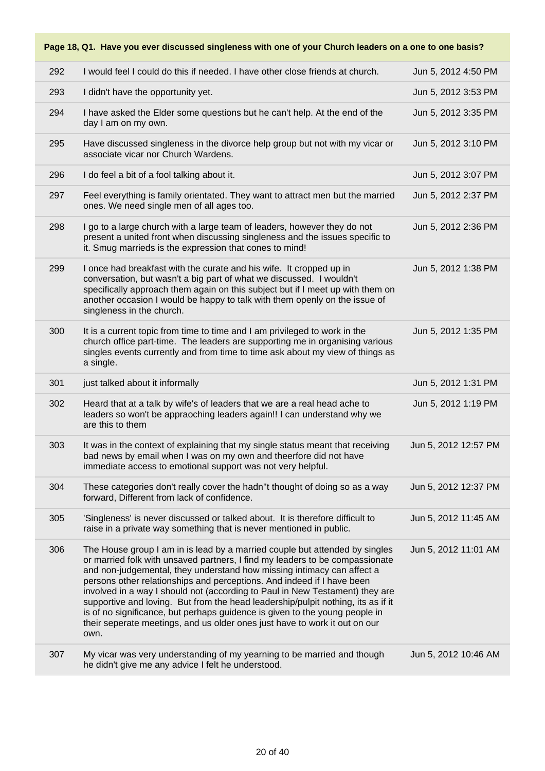| 292 | I would feel I could do this if needed. I have other close friends at church.                                                                                                                                                                                                                                                                                                                                                                                                                                                                                                                                                                            | Jun 5, 2012 4:50 PM  |
|-----|----------------------------------------------------------------------------------------------------------------------------------------------------------------------------------------------------------------------------------------------------------------------------------------------------------------------------------------------------------------------------------------------------------------------------------------------------------------------------------------------------------------------------------------------------------------------------------------------------------------------------------------------------------|----------------------|
| 293 | I didn't have the opportunity yet.                                                                                                                                                                                                                                                                                                                                                                                                                                                                                                                                                                                                                       | Jun 5, 2012 3:53 PM  |
| 294 | I have asked the Elder some questions but he can't help. At the end of the<br>day I am on my own.                                                                                                                                                                                                                                                                                                                                                                                                                                                                                                                                                        | Jun 5, 2012 3:35 PM  |
| 295 | Have discussed singleness in the divorce help group but not with my vicar or<br>associate vicar nor Church Wardens.                                                                                                                                                                                                                                                                                                                                                                                                                                                                                                                                      | Jun 5, 2012 3:10 PM  |
| 296 | I do feel a bit of a fool talking about it.                                                                                                                                                                                                                                                                                                                                                                                                                                                                                                                                                                                                              | Jun 5, 2012 3:07 PM  |
| 297 | Feel everything is family orientated. They want to attract men but the married<br>ones. We need single men of all ages too.                                                                                                                                                                                                                                                                                                                                                                                                                                                                                                                              | Jun 5, 2012 2:37 PM  |
| 298 | I go to a large church with a large team of leaders, however they do not<br>present a united front when discussing singleness and the issues specific to<br>it. Smug marrieds is the expression that cones to mind!                                                                                                                                                                                                                                                                                                                                                                                                                                      | Jun 5, 2012 2:36 PM  |
| 299 | I once had breakfast with the curate and his wife. It cropped up in<br>conversation, but wasn't a big part of what we discussed. I wouldn't<br>specifically approach them again on this subject but if I meet up with them on<br>another occasion I would be happy to talk with them openly on the issue of<br>singleness in the church.                                                                                                                                                                                                                                                                                                                 | Jun 5, 2012 1:38 PM  |
| 300 | It is a current topic from time to time and I am privileged to work in the<br>church office part-time. The leaders are supporting me in organising various<br>singles events currently and from time to time ask about my view of things as<br>a single.                                                                                                                                                                                                                                                                                                                                                                                                 | Jun 5, 2012 1:35 PM  |
|     |                                                                                                                                                                                                                                                                                                                                                                                                                                                                                                                                                                                                                                                          |                      |
| 301 | just talked about it informally                                                                                                                                                                                                                                                                                                                                                                                                                                                                                                                                                                                                                          | Jun 5, 2012 1:31 PM  |
| 302 | Heard that at a talk by wife's of leaders that we are a real head ache to<br>leaders so won't be appraoching leaders again!! I can understand why we<br>are this to them                                                                                                                                                                                                                                                                                                                                                                                                                                                                                 | Jun 5, 2012 1:19 PM  |
| 303 | It was in the context of explaining that my single status meant that receiving<br>bad news by email when I was on my own and theerfore did not have<br>immediate access to emotional support was not very helpful.                                                                                                                                                                                                                                                                                                                                                                                                                                       | Jun 5, 2012 12:57 PM |
| 304 | These categories don't really cover the hadn"t thought of doing so as a way<br>forward, Different from lack of confidence.                                                                                                                                                                                                                                                                                                                                                                                                                                                                                                                               | Jun 5, 2012 12:37 PM |
| 305 | 'Singleness' is never discussed or talked about. It is therefore difficult to<br>raise in a private way something that is never mentioned in public.                                                                                                                                                                                                                                                                                                                                                                                                                                                                                                     | Jun 5, 2012 11:45 AM |
| 306 | The House group I am in is lead by a married couple but attended by singles<br>or married folk with unsaved partners, I find my leaders to be compassionate<br>and non-judgemental, they understand how missing intimacy can affect a<br>persons other relationships and perceptions. And indeed if I have been<br>involved in a way I should not (according to Paul in New Testament) they are<br>supportive and loving. But from the head leadership/pulpit nothing, its as if it<br>is of no significance, but perhaps guidence is given to the young people in<br>their seperate meetings, and us older ones just have to work it out on our<br>own. | Jun 5, 2012 11:01 AM |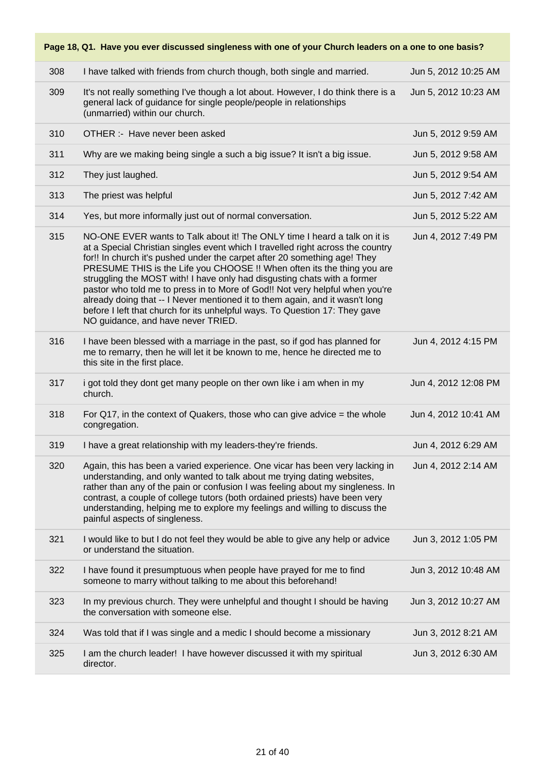|     | Page 18, Q1. Have you ever discussed singleness with one of your Church leaders on a one to one basis?                                                                                                                                                                                                                                                                                                                                                                                                                                                                                                                                                                                |                      |
|-----|---------------------------------------------------------------------------------------------------------------------------------------------------------------------------------------------------------------------------------------------------------------------------------------------------------------------------------------------------------------------------------------------------------------------------------------------------------------------------------------------------------------------------------------------------------------------------------------------------------------------------------------------------------------------------------------|----------------------|
| 308 | I have talked with friends from church though, both single and married.                                                                                                                                                                                                                                                                                                                                                                                                                                                                                                                                                                                                               | Jun 5, 2012 10:25 AM |
| 309 | It's not really something I've though a lot about. However, I do think there is a<br>general lack of guidance for single people/people in relationships<br>(unmarried) within our church.                                                                                                                                                                                                                                                                                                                                                                                                                                                                                             | Jun 5, 2012 10:23 AM |
| 310 | OTHER :- Have never been asked                                                                                                                                                                                                                                                                                                                                                                                                                                                                                                                                                                                                                                                        | Jun 5, 2012 9:59 AM  |
| 311 | Why are we making being single a such a big issue? It isn't a big issue.                                                                                                                                                                                                                                                                                                                                                                                                                                                                                                                                                                                                              | Jun 5, 2012 9:58 AM  |
| 312 | They just laughed.                                                                                                                                                                                                                                                                                                                                                                                                                                                                                                                                                                                                                                                                    | Jun 5, 2012 9:54 AM  |
| 313 | The priest was helpful                                                                                                                                                                                                                                                                                                                                                                                                                                                                                                                                                                                                                                                                | Jun 5, 2012 7:42 AM  |
| 314 | Yes, but more informally just out of normal conversation.                                                                                                                                                                                                                                                                                                                                                                                                                                                                                                                                                                                                                             | Jun 5, 2012 5:22 AM  |
| 315 | NO-ONE EVER wants to Talk about it! The ONLY time I heard a talk on it is<br>at a Special Christian singles event which I travelled right across the country<br>for!! In church it's pushed under the carpet after 20 something age! They<br>PRESUME THIS is the Life you CHOOSE !! When often its the thing you are<br>struggling the MOST with! I have only had disgusting chats with a former<br>pastor who told me to press in to More of God!! Not very helpful when you're<br>already doing that -- I Never mentioned it to them again, and it wasn't long<br>before I left that church for its unhelpful ways. To Question 17: They gave<br>NO guidance, and have never TRIED. | Jun 4, 2012 7:49 PM  |
| 316 | I have been blessed with a marriage in the past, so if god has planned for<br>me to remarry, then he will let it be known to me, hence he directed me to<br>this site in the first place.                                                                                                                                                                                                                                                                                                                                                                                                                                                                                             | Jun 4, 2012 4:15 PM  |
| 317 | i got told they dont get many people on ther own like i am when in my<br>church.                                                                                                                                                                                                                                                                                                                                                                                                                                                                                                                                                                                                      | Jun 4, 2012 12:08 PM |
| 318 | For Q17, in the context of Quakers, those who can give advice $=$ the whole<br>congregation.                                                                                                                                                                                                                                                                                                                                                                                                                                                                                                                                                                                          | Jun 4, 2012 10:41 AM |
| 319 | I have a great relationship with my leaders-they're friends.                                                                                                                                                                                                                                                                                                                                                                                                                                                                                                                                                                                                                          | Jun 4, 2012 6:29 AM  |
| 320 | Again, this has been a varied experience. One vicar has been very lacking in<br>understanding, and only wanted to talk about me trying dating websites,<br>rather than any of the pain or confusion I was feeling about my singleness. In<br>contrast, a couple of college tutors (both ordained priests) have been very<br>understanding, helping me to explore my feelings and willing to discuss the<br>painful aspects of singleness.                                                                                                                                                                                                                                             | Jun 4, 2012 2:14 AM  |
| 321 | I would like to but I do not feel they would be able to give any help or advice<br>or understand the situation.                                                                                                                                                                                                                                                                                                                                                                                                                                                                                                                                                                       | Jun 3, 2012 1:05 PM  |
| 322 | I have found it presumptuous when people have prayed for me to find<br>someone to marry without talking to me about this beforehand!                                                                                                                                                                                                                                                                                                                                                                                                                                                                                                                                                  | Jun 3, 2012 10:48 AM |
| 323 | In my previous church. They were unhelpful and thought I should be having<br>the conversation with someone else.                                                                                                                                                                                                                                                                                                                                                                                                                                                                                                                                                                      | Jun 3, 2012 10:27 AM |
| 324 | Was told that if I was single and a medic I should become a missionary                                                                                                                                                                                                                                                                                                                                                                                                                                                                                                                                                                                                                | Jun 3, 2012 8:21 AM  |
| 325 | I am the church leader! I have however discussed it with my spiritual<br>director.                                                                                                                                                                                                                                                                                                                                                                                                                                                                                                                                                                                                    | Jun 3, 2012 6:30 AM  |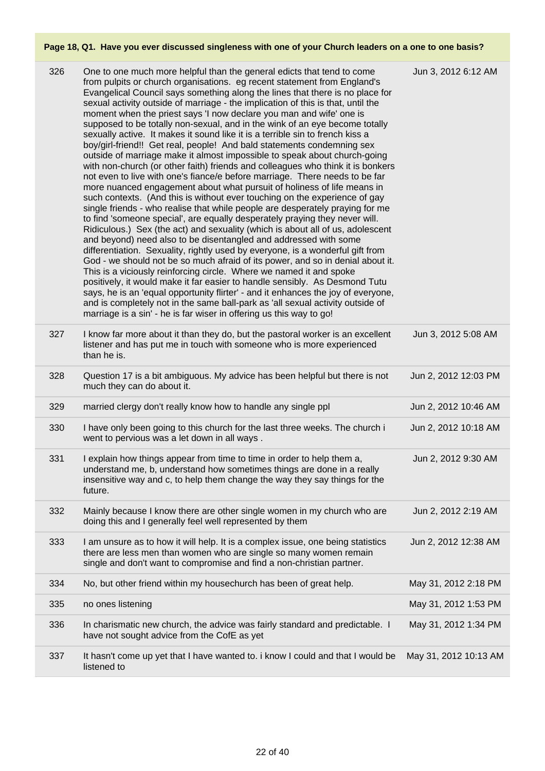| 326 | One to one much more helpful than the general edicts that tend to come<br>from pulpits or church organisations. eg recent statement from England's<br>Evangelical Council says something along the lines that there is no place for<br>sexual activity outside of marriage - the implication of this is that, until the<br>moment when the priest says 'I now declare you man and wife' one is<br>supposed to be totally non-sexual, and in the wink of an eye become totally<br>sexually active. It makes it sound like it is a terrible sin to french kiss a<br>boy/girl-friend!! Get real, people! And bald statements condemning sex<br>outside of marriage make it almost impossible to speak about church-going<br>with non-church (or other faith) friends and colleagues who think it is bonkers<br>not even to live with one's fiance/e before marriage. There needs to be far<br>more nuanced engagement about what pursuit of holiness of life means in<br>such contexts. (And this is without ever touching on the experience of gay<br>single friends - who realise that while people are desperately praying for me<br>to find 'someone special', are equally desperately praying they never will.<br>Ridiculous.) Sex (the act) and sexuality (which is about all of us, adolescent<br>and beyond) need also to be disentangled and addressed with some<br>differentiation. Sexuality, rightly used by everyone, is a wonderful gift from<br>God - we should not be so much afraid of its power, and so in denial about it.<br>This is a viciously reinforcing circle. Where we named it and spoke<br>positively, it would make it far easier to handle sensibly. As Desmond Tutu<br>says, he is an 'equal opportunity flirter' - and it enhances the joy of everyone,<br>and is completely not in the same ball-park as 'all sexual activity outside of<br>marriage is a sin' - he is far wiser in offering us this way to go! | Jun 3, 2012 6:12 AM   |
|-----|------------------------------------------------------------------------------------------------------------------------------------------------------------------------------------------------------------------------------------------------------------------------------------------------------------------------------------------------------------------------------------------------------------------------------------------------------------------------------------------------------------------------------------------------------------------------------------------------------------------------------------------------------------------------------------------------------------------------------------------------------------------------------------------------------------------------------------------------------------------------------------------------------------------------------------------------------------------------------------------------------------------------------------------------------------------------------------------------------------------------------------------------------------------------------------------------------------------------------------------------------------------------------------------------------------------------------------------------------------------------------------------------------------------------------------------------------------------------------------------------------------------------------------------------------------------------------------------------------------------------------------------------------------------------------------------------------------------------------------------------------------------------------------------------------------------------------------------------------------------------------------------------------------------------------------------------|-----------------------|
| 327 | I know far more about it than they do, but the pastoral worker is an excellent<br>listener and has put me in touch with someone who is more experienced<br>than he is.                                                                                                                                                                                                                                                                                                                                                                                                                                                                                                                                                                                                                                                                                                                                                                                                                                                                                                                                                                                                                                                                                                                                                                                                                                                                                                                                                                                                                                                                                                                                                                                                                                                                                                                                                                         | Jun 3, 2012 5:08 AM   |
| 328 | Question 17 is a bit ambiguous. My advice has been helpful but there is not<br>much they can do about it.                                                                                                                                                                                                                                                                                                                                                                                                                                                                                                                                                                                                                                                                                                                                                                                                                                                                                                                                                                                                                                                                                                                                                                                                                                                                                                                                                                                                                                                                                                                                                                                                                                                                                                                                                                                                                                      | Jun 2, 2012 12:03 PM  |
| 329 | married clergy don't really know how to handle any single ppl                                                                                                                                                                                                                                                                                                                                                                                                                                                                                                                                                                                                                                                                                                                                                                                                                                                                                                                                                                                                                                                                                                                                                                                                                                                                                                                                                                                                                                                                                                                                                                                                                                                                                                                                                                                                                                                                                  | Jun 2, 2012 10:46 AM  |
| 330 | I have only been going to this church for the last three weeks. The church i<br>went to pervious was a let down in all ways.                                                                                                                                                                                                                                                                                                                                                                                                                                                                                                                                                                                                                                                                                                                                                                                                                                                                                                                                                                                                                                                                                                                                                                                                                                                                                                                                                                                                                                                                                                                                                                                                                                                                                                                                                                                                                   | Jun 2, 2012 10:18 AM  |
| 331 | I explain how things appear from time to time in order to help them a,<br>understand me, b, understand how sometimes things are done in a really<br>insensitive way and c, to help them change the way they say things for the<br>future.                                                                                                                                                                                                                                                                                                                                                                                                                                                                                                                                                                                                                                                                                                                                                                                                                                                                                                                                                                                                                                                                                                                                                                                                                                                                                                                                                                                                                                                                                                                                                                                                                                                                                                      | Jun 2, 2012 9:30 AM   |
| 332 | Mainly because I know there are other single women in my church who are<br>doing this and I generally feel well represented by them                                                                                                                                                                                                                                                                                                                                                                                                                                                                                                                                                                                                                                                                                                                                                                                                                                                                                                                                                                                                                                                                                                                                                                                                                                                                                                                                                                                                                                                                                                                                                                                                                                                                                                                                                                                                            | Jun 2, 2012 2:19 AM   |
| 333 | I am unsure as to how it will help. It is a complex issue, one being statistics<br>there are less men than women who are single so many women remain<br>single and don't want to compromise and find a non-christian partner.                                                                                                                                                                                                                                                                                                                                                                                                                                                                                                                                                                                                                                                                                                                                                                                                                                                                                                                                                                                                                                                                                                                                                                                                                                                                                                                                                                                                                                                                                                                                                                                                                                                                                                                  | Jun 2, 2012 12:38 AM  |
| 334 | No, but other friend within my housechurch has been of great help.                                                                                                                                                                                                                                                                                                                                                                                                                                                                                                                                                                                                                                                                                                                                                                                                                                                                                                                                                                                                                                                                                                                                                                                                                                                                                                                                                                                                                                                                                                                                                                                                                                                                                                                                                                                                                                                                             | May 31, 2012 2:18 PM  |
| 335 | no ones listening                                                                                                                                                                                                                                                                                                                                                                                                                                                                                                                                                                                                                                                                                                                                                                                                                                                                                                                                                                                                                                                                                                                                                                                                                                                                                                                                                                                                                                                                                                                                                                                                                                                                                                                                                                                                                                                                                                                              | May 31, 2012 1:53 PM  |
| 336 | In charismatic new church, the advice was fairly standard and predictable. I<br>have not sought advice from the CofE as yet                                                                                                                                                                                                                                                                                                                                                                                                                                                                                                                                                                                                                                                                                                                                                                                                                                                                                                                                                                                                                                                                                                                                                                                                                                                                                                                                                                                                                                                                                                                                                                                                                                                                                                                                                                                                                    | May 31, 2012 1:34 PM  |
| 337 | It hasn't come up yet that I have wanted to. i know I could and that I would be<br>listened to                                                                                                                                                                                                                                                                                                                                                                                                                                                                                                                                                                                                                                                                                                                                                                                                                                                                                                                                                                                                                                                                                                                                                                                                                                                                                                                                                                                                                                                                                                                                                                                                                                                                                                                                                                                                                                                 | May 31, 2012 10:13 AM |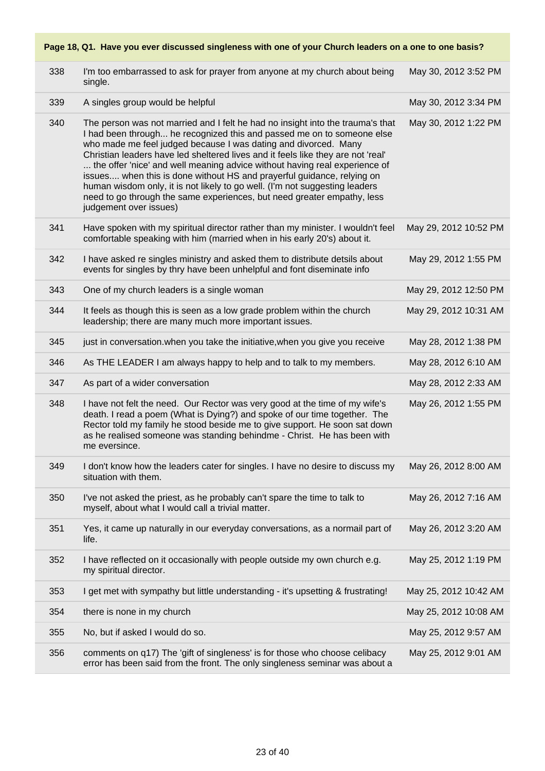### 338 I'm too embarrassed to ask for prayer from anyone at my church about being single. May 30, 2012 3:52 PM 339 A singles group would be helpful May 30, 2012 3:34 PM 340 The person was not married and I felt he had no insight into the trauma's that I had been through... he recognized this and passed me on to someone else who made me feel judged because I was dating and divorced. Many Christian leaders have led sheltered lives and it feels like they are not 'real' ... the offer 'nice' and well meaning advice without having real experience of issues.... when this is done without HS and prayerful guidance, relying on human wisdom only, it is not likely to go well. (I'm not suggesting leaders need to go through the same experiences, but need greater empathy, less judgement over issues) May 30, 2012 1:22 PM 341 Have spoken with my spiritual director rather than my minister. I wouldn't feel comfortable speaking with him (married when in his early 20's) about it. May 29, 2012 10:52 PM 342 I have asked re singles ministry and asked them to distribute detsils about events for singles by thry have been unhelpful and font diseminate info May 29, 2012 1:55 PM 343 One of my church leaders is a single woman May 29, 2012 12:50 PM 344 It feels as though this is seen as a low grade problem within the church leadership; there are many much more important issues. May 29, 2012 10:31 AM 345 just in conversation.when you take the initiative, when you give you receive May 28, 2012 1:38 PM 346 As THE LEADER I am always happy to help and to talk to my members. May 28, 2012 6:10 AM 347 As part of a wider conversation May 28, 2012 2:33 AM 348 I have not felt the need. Our Rector was very good at the time of my wife's death. I read a poem (What is Dying?) and spoke of our time together. The Rector told my family he stood beside me to give support. He soon sat down as he realised someone was standing behindme - Christ. He has been with me eversince. May 26, 2012 1:55 PM 349 I don't know how the leaders cater for singles. I have no desire to discuss my situation with them. May 26, 2012 8:00 AM 350 I've not asked the priest, as he probably can't spare the time to talk to myself, about what I would call a trivial matter. May 26, 2012 7:16 AM 351 Yes, it came up naturally in our everyday conversations, as a normail part of life. May 26, 2012 3:20 AM 352 I have reflected on it occasionally with people outside my own church e.g. my spiritual director. May 25, 2012 1:19 PM 353 I get met with sympathy but little understanding - it's upsetting & frustrating! May 25, 2012 10:42 AM 354 there is none in my church May 25, 2012 10:08 AM 355 No, but if asked I would do so. May 25, 2012 9:57 AM 356 comments on q17) The 'gift of singleness' is for those who choose celibacy May 25, 2012 9:01 AM

#### **Page 18, Q1. Have you ever discussed singleness with one of your Church leaders on a one to one basis?**

error has been said from the front. The only singleness seminar was about a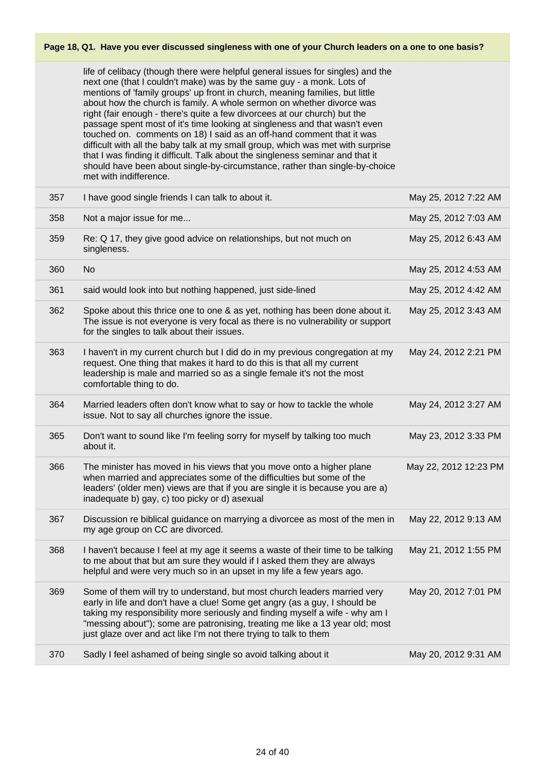life of celibacy (though there were helpful general issues for singles) and the next one (that I couldn't make) was by the same guy - a monk. Lots of mentions of 'family groups' up front in church, meaning families, but little about how the church is family. A whole sermon on whether divorce was right (fair enough - there's quite a few divorcees at our church) but the passage spent most of it's time looking at singleness and that wasn't even touched on. comments on 18) I said as an off-hand comment that it was difficult with all the baby talk at my small group, which was met with surprise that I was finding it difficult. Talk about the singleness seminar and that it should have been about single-by-circumstance, rather than single-by-choice met with indifference.

| 357 | I have good single friends I can talk to about it.                                                                                                                                                                                                                                                                                                                                           | May 25, 2012 7:22 AM  |
|-----|----------------------------------------------------------------------------------------------------------------------------------------------------------------------------------------------------------------------------------------------------------------------------------------------------------------------------------------------------------------------------------------------|-----------------------|
| 358 | Not a major issue for me                                                                                                                                                                                                                                                                                                                                                                     | May 25, 2012 7:03 AM  |
| 359 | Re: Q 17, they give good advice on relationships, but not much on<br>singleness.                                                                                                                                                                                                                                                                                                             | May 25, 2012 6:43 AM  |
| 360 | No.                                                                                                                                                                                                                                                                                                                                                                                          | May 25, 2012 4:53 AM  |
| 361 | said would look into but nothing happened, just side-lined                                                                                                                                                                                                                                                                                                                                   | May 25, 2012 4:42 AM  |
| 362 | Spoke about this thrice one to one & as yet, nothing has been done about it.<br>The issue is not everyone is very focal as there is no vulnerability or support<br>for the singles to talk about their issues.                                                                                                                                                                               | May 25, 2012 3:43 AM  |
| 363 | I haven't in my current church but I did do in my previous congregation at my<br>request. One thing that makes it hard to do this is that all my current<br>leadership is male and married so as a single female it's not the most<br>comfortable thing to do.                                                                                                                               | May 24, 2012 2:21 PM  |
| 364 | Married leaders often don't know what to say or how to tackle the whole<br>issue. Not to say all churches ignore the issue.                                                                                                                                                                                                                                                                  | May 24, 2012 3:27 AM  |
| 365 | Don't want to sound like I'm feeling sorry for myself by talking too much<br>about it.                                                                                                                                                                                                                                                                                                       | May 23, 2012 3:33 PM  |
| 366 | The minister has moved in his views that you move onto a higher plane<br>when married and appreciates some of the difficulties but some of the<br>leaders' (older men) views are that if you are single it is because you are a)<br>inadequate b) gay, c) too picky or d) asexual                                                                                                            | May 22, 2012 12:23 PM |
| 367 | Discussion re biblical guidance on marrying a divorcee as most of the men in<br>my age group on CC are divorced.                                                                                                                                                                                                                                                                             | May 22, 2012 9:13 AM  |
| 368 | I haven't because I feel at my age it seems a waste of their time to be talking<br>to me about that but am sure they would if I asked them they are always<br>helpful and were very much so in an upset in my life a few years ago.                                                                                                                                                          | May 21, 2012 1:55 PM  |
| 369 | Some of them will try to understand, but most church leaders married very<br>early in life and don't have a clue! Some get angry (as a guy, I should be<br>taking my responsibility more seriously and finding myself a wife - why am I<br>"messing about"); some are patronising, treating me like a 13 year old; most<br>just glaze over and act like I'm not there trying to talk to them | May 20, 2012 7:01 PM  |
| 370 | Sadly I feel ashamed of being single so avoid talking about it                                                                                                                                                                                                                                                                                                                               | May 20, 2012 9:31 AM  |
|     |                                                                                                                                                                                                                                                                                                                                                                                              |                       |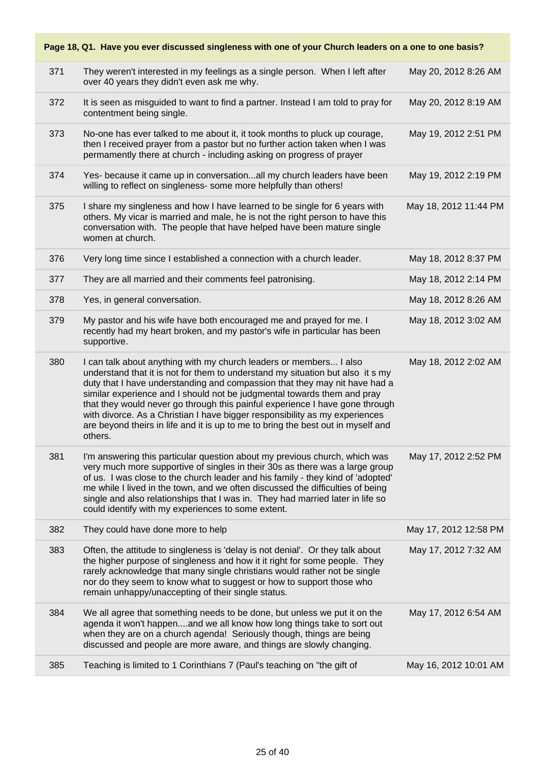#### **Page 18, Q1. Have you ever discussed singleness with one of your Church leaders on a one to one basis?** 371 They weren't interested in my feelings as a single person. When I left after over 40 years they didn't even ask me why. May 20, 2012 8:26 AM 372 It is seen as misguided to want to find a partner. Instead I am told to pray for contentment being single. May 20, 2012 8:19 AM 373 No-one has ever talked to me about it, it took months to pluck up courage, then I received prayer from a pastor but no further action taken when I was permamently there at church - including asking on progress of prayer May 19, 2012 2:51 PM 374 Yes- because it came up in conversation...all my church leaders have been willing to reflect on singleness- some more helpfully than others! May 19, 2012 2:19 PM 375 I share my singleness and how I have learned to be single for 6 years with others. My vicar is married and male, he is not the right person to have this conversation with. The people that have helped have been mature single women at church. May 18, 2012 11:44 PM 376 Very long time since I established a connection with a church leader. May 18, 2012 8:37 PM 377 They are all married and their comments feel patronising. May 18, 2012 2:14 PM 378 Yes, in general conversation. May 18, 2012 8:26 AM 379 My pastor and his wife have both encouraged me and prayed for me. I recently had my heart broken, and my pastor's wife in particular has been supportive. May 18, 2012 3:02 AM 380 I can talk about anything with my church leaders or members... I also understand that it is not for them to understand my situation but also it s my duty that I have understanding and compassion that they may nit have had a similar experience and I should not be judgmental towards them and pray that they would never go through this painful experience I have gone through with divorce. As a Christian I have bigger responsibility as my experiences are beyond theirs in life and it is up to me to bring the best out in myself and others. May 18, 2012 2:02 AM 381 I'm answering this particular question about my previous church, which was very much more supportive of singles in their 30s as there was a large group of us. I was close to the church leader and his family - they kind of 'adopted' me while I lived in the town, and we often discussed the difficulties of being single and also relationships that I was in. They had married later in life so could identify with my experiences to some extent. May 17, 2012 2:52 PM 382 They could have done more to help May 17, 2012 12:58 PM 383 Often, the attitude to singleness is 'delay is not denial'. Or they talk about the higher purpose of singleness and how it it right for some people. They rarely acknowledge that many single christians would rather not be single nor do they seem to know what to suggest or how to support those who remain unhappy/unaccepting of their single status. May 17, 2012 7:32 AM 384 We all agree that something needs to be done, but unless we put it on the agenda it won't happen....and we all know how long things take to sort out when they are on a church agenda! Seriously though, things are being discussed and people are more aware, and things are slowly changing. May 17, 2012 6:54 AM 385 Teaching is limited to 1 Corinthians 7 (Paul's teaching on "the gift of May 16, 2012 10:01 AM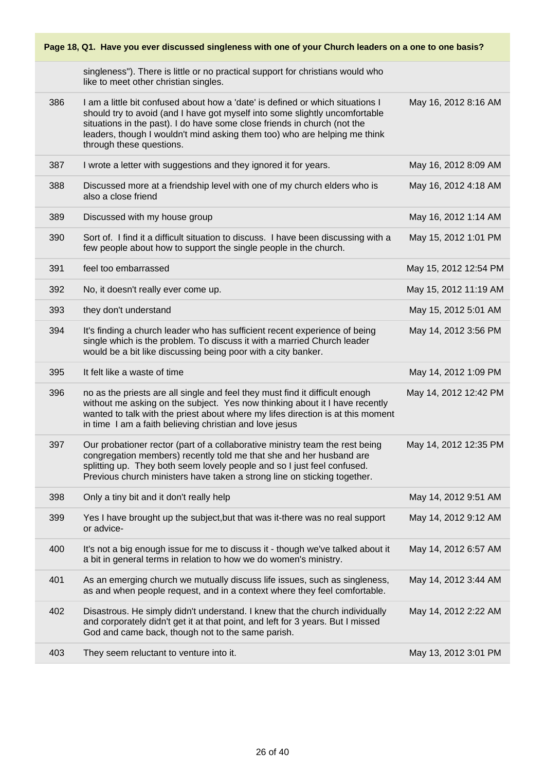**Page 18, Q1. Have you ever discussed singleness with one of your Church leaders on a one to one basis?**

|     | singleness"). There is little or no practical support for christians would who<br>like to meet other christian singles.                                                                                                                                                                                                                            |                       |
|-----|----------------------------------------------------------------------------------------------------------------------------------------------------------------------------------------------------------------------------------------------------------------------------------------------------------------------------------------------------|-----------------------|
| 386 | I am a little bit confused about how a 'date' is defined or which situations I<br>should try to avoid (and I have got myself into some slightly uncomfortable<br>situations in the past). I do have some close friends in church (not the<br>leaders, though I wouldn't mind asking them too) who are helping me think<br>through these questions. | May 16, 2012 8:16 AM  |
| 387 | I wrote a letter with suggestions and they ignored it for years.                                                                                                                                                                                                                                                                                   | May 16, 2012 8:09 AM  |
| 388 | Discussed more at a friendship level with one of my church elders who is<br>also a close friend                                                                                                                                                                                                                                                    | May 16, 2012 4:18 AM  |
| 389 | Discussed with my house group                                                                                                                                                                                                                                                                                                                      | May 16, 2012 1:14 AM  |
| 390 | Sort of. I find it a difficult situation to discuss. I have been discussing with a<br>few people about how to support the single people in the church.                                                                                                                                                                                             | May 15, 2012 1:01 PM  |
| 391 | feel too embarrassed                                                                                                                                                                                                                                                                                                                               | May 15, 2012 12:54 PM |
| 392 | No, it doesn't really ever come up.                                                                                                                                                                                                                                                                                                                | May 15, 2012 11:19 AM |
| 393 | they don't understand                                                                                                                                                                                                                                                                                                                              | May 15, 2012 5:01 AM  |
| 394 | It's finding a church leader who has sufficient recent experience of being<br>single which is the problem. To discuss it with a married Church leader<br>would be a bit like discussing being poor with a city banker.                                                                                                                             | May 14, 2012 3:56 PM  |
| 395 | It felt like a waste of time                                                                                                                                                                                                                                                                                                                       | May 14, 2012 1:09 PM  |
|     |                                                                                                                                                                                                                                                                                                                                                    |                       |
| 396 | no as the priests are all single and feel they must find it difficult enough<br>without me asking on the subject. Yes now thinking about it I have recently<br>wanted to talk with the priest about where my lifes direction is at this moment<br>in time I am a faith believing christian and love jesus                                          | May 14, 2012 12:42 PM |
| 397 | Our probationer rector (part of a collaborative ministry team the rest being<br>congregation members) recently told me that she and her husband are<br>splitting up. They both seem lovely people and so I just feel confused.<br>Previous church ministers have taken a strong line on sticking together.                                         | May 14, 2012 12:35 PM |
| 398 | Only a tiny bit and it don't really help                                                                                                                                                                                                                                                                                                           | May 14, 2012 9:51 AM  |
| 399 | Yes I have brought up the subject, but that was it-there was no real support<br>or advice-                                                                                                                                                                                                                                                         | May 14, 2012 9:12 AM  |
| 400 | It's not a big enough issue for me to discuss it - though we've talked about it<br>a bit in general terms in relation to how we do women's ministry.                                                                                                                                                                                               | May 14, 2012 6:57 AM  |
| 401 | As an emerging church we mutually discuss life issues, such as singleness,<br>as and when people request, and in a context where they feel comfortable.                                                                                                                                                                                            | May 14, 2012 3:44 AM  |
| 402 | Disastrous. He simply didn't understand. I knew that the church individually<br>and corporately didn't get it at that point, and left for 3 years. But I missed<br>God and came back, though not to the same parish.                                                                                                                               | May 14, 2012 2:22 AM  |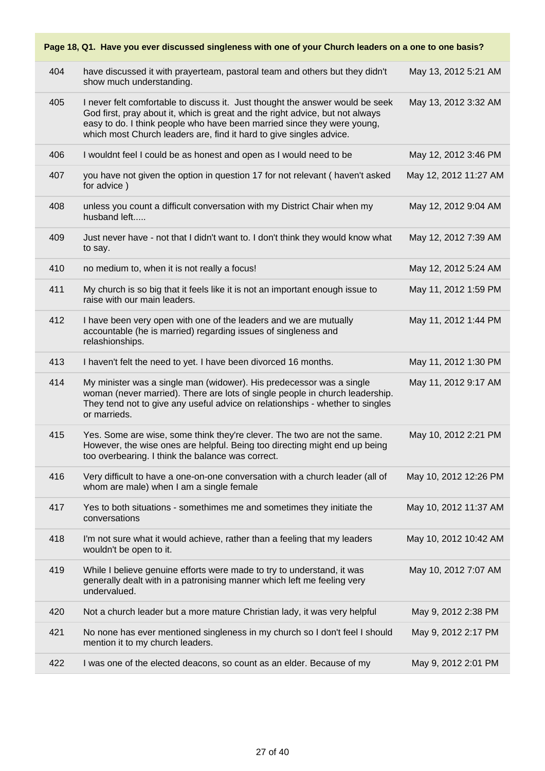|     | Page 18, Q1. Have you ever discussed singleness with one of your Church leaders on a one to one basis?                                                                                                                                                                                                           |                       |
|-----|------------------------------------------------------------------------------------------------------------------------------------------------------------------------------------------------------------------------------------------------------------------------------------------------------------------|-----------------------|
| 404 | have discussed it with prayerteam, pastoral team and others but they didn't<br>show much understanding.                                                                                                                                                                                                          | May 13, 2012 5:21 AM  |
| 405 | I never felt comfortable to discuss it. Just thought the answer would be seek<br>God first, pray about it, which is great and the right advice, but not always<br>easy to do. I think people who have been married since they were young,<br>which most Church leaders are, find it hard to give singles advice. | May 13, 2012 3:32 AM  |
| 406 | I wouldnt feel I could be as honest and open as I would need to be                                                                                                                                                                                                                                               | May 12, 2012 3:46 PM  |
| 407 | you have not given the option in question 17 for not relevant (haven't asked<br>for advice)                                                                                                                                                                                                                      | May 12, 2012 11:27 AM |
| 408 | unless you count a difficult conversation with my District Chair when my<br>husband left                                                                                                                                                                                                                         | May 12, 2012 9:04 AM  |
| 409 | Just never have - not that I didn't want to. I don't think they would know what<br>to say.                                                                                                                                                                                                                       | May 12, 2012 7:39 AM  |
| 410 | no medium to, when it is not really a focus!                                                                                                                                                                                                                                                                     | May 12, 2012 5:24 AM  |
| 411 | My church is so big that it feels like it is not an important enough issue to<br>raise with our main leaders.                                                                                                                                                                                                    | May 11, 2012 1:59 PM  |
| 412 | I have been very open with one of the leaders and we are mutually<br>accountable (he is married) regarding issues of singleness and<br>relashionships.                                                                                                                                                           | May 11, 2012 1:44 PM  |
| 413 | I haven't felt the need to yet. I have been divorced 16 months.                                                                                                                                                                                                                                                  | May 11, 2012 1:30 PM  |
| 414 | My minister was a single man (widower). His predecessor was a single<br>woman (never married). There are lots of single people in church leadership.<br>They tend not to give any useful advice on relationships - whether to singles<br>or marrieds.                                                            | May 11, 2012 9:17 AM  |
| 415 | Yes. Some are wise, some think they're clever. The two are not the same.<br>However, the wise ones are helpful. Being too directing might end up being<br>too overbearing. I think the balance was correct.                                                                                                      | May 10, 2012 2:21 PM  |
| 416 | Very difficult to have a one-on-one conversation with a church leader (all of<br>whom are male) when I am a single female                                                                                                                                                                                        | May 10, 2012 12:26 PM |
| 417 | Yes to both situations - somethimes me and sometimes they initiate the<br>conversations                                                                                                                                                                                                                          | May 10, 2012 11:37 AM |
| 418 | I'm not sure what it would achieve, rather than a feeling that my leaders<br>wouldn't be open to it.                                                                                                                                                                                                             | May 10, 2012 10:42 AM |
| 419 | While I believe genuine efforts were made to try to understand, it was<br>generally dealt with in a patronising manner which left me feeling very<br>undervalued.                                                                                                                                                | May 10, 2012 7:07 AM  |
| 420 | Not a church leader but a more mature Christian lady, it was very helpful                                                                                                                                                                                                                                        | May 9, 2012 2:38 PM   |
| 421 | No none has ever mentioned singleness in my church so I don't feel I should<br>mention it to my church leaders.                                                                                                                                                                                                  | May 9, 2012 2:17 PM   |
| 422 | I was one of the elected deacons, so count as an elder. Because of my                                                                                                                                                                                                                                            | May 9, 2012 2:01 PM   |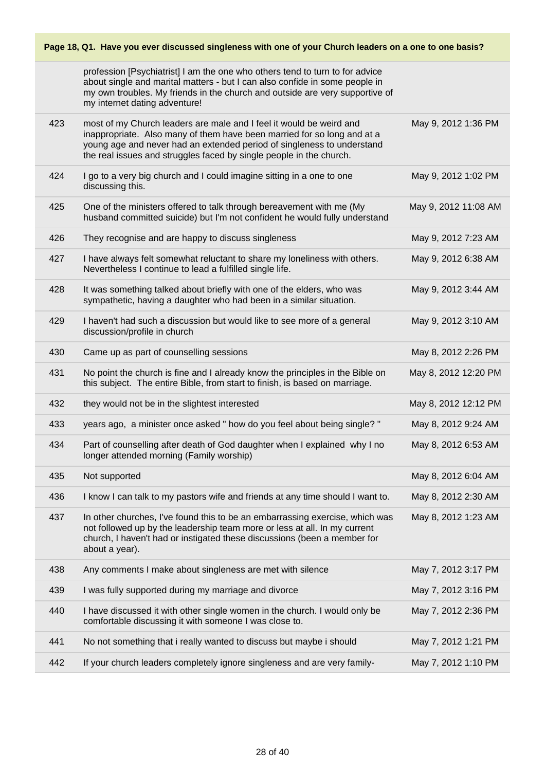|     | Page 18, Q1. Have you ever discussed singleness with one of your Church leaders on a one to one basis?                                                                                                                                                                                          |                      |  |  |
|-----|-------------------------------------------------------------------------------------------------------------------------------------------------------------------------------------------------------------------------------------------------------------------------------------------------|----------------------|--|--|
|     | profession [Psychiatrist] I am the one who others tend to turn to for advice<br>about single and marital matters - but I can also confide in some people in<br>my own troubles. My friends in the church and outside are very supportive of<br>my internet dating adventure!                    |                      |  |  |
| 423 | most of my Church leaders are male and I feel it would be weird and<br>inappropriate. Also many of them have been married for so long and at a<br>young age and never had an extended period of singleness to understand<br>the real issues and struggles faced by single people in the church. | May 9, 2012 1:36 PM  |  |  |
| 424 | I go to a very big church and I could imagine sitting in a one to one<br>discussing this.                                                                                                                                                                                                       | May 9, 2012 1:02 PM  |  |  |
| 425 | One of the ministers offered to talk through bereavement with me (My<br>husband committed suicide) but I'm not confident he would fully understand                                                                                                                                              | May 9, 2012 11:08 AM |  |  |
| 426 | They recognise and are happy to discuss singleness                                                                                                                                                                                                                                              | May 9, 2012 7:23 AM  |  |  |
| 427 | I have always felt somewhat reluctant to share my loneliness with others.<br>Nevertheless I continue to lead a fulfilled single life.                                                                                                                                                           | May 9, 2012 6:38 AM  |  |  |
| 428 | It was something talked about briefly with one of the elders, who was<br>sympathetic, having a daughter who had been in a similar situation.                                                                                                                                                    | May 9, 2012 3:44 AM  |  |  |
| 429 | I haven't had such a discussion but would like to see more of a general<br>discussion/profile in church                                                                                                                                                                                         | May 9, 2012 3:10 AM  |  |  |
| 430 | Came up as part of counselling sessions                                                                                                                                                                                                                                                         | May 8, 2012 2:26 PM  |  |  |
| 431 | No point the church is fine and I already know the principles in the Bible on<br>this subject. The entire Bible, from start to finish, is based on marriage.                                                                                                                                    | May 8, 2012 12:20 PM |  |  |
| 432 | they would not be in the slightest interested                                                                                                                                                                                                                                                   | May 8, 2012 12:12 PM |  |  |
| 433 | years ago, a minister once asked " how do you feel about being single? "                                                                                                                                                                                                                        | May 8, 2012 9:24 AM  |  |  |
| 434 | Part of counselling after death of God daughter when I explained why I no<br>longer attended morning (Family worship)                                                                                                                                                                           | May 8, 2012 6:53 AM  |  |  |
| 435 | Not supported                                                                                                                                                                                                                                                                                   | May 8, 2012 6:04 AM  |  |  |
| 436 | I know I can talk to my pastors wife and friends at any time should I want to.                                                                                                                                                                                                                  | May 8, 2012 2:30 AM  |  |  |
| 437 | In other churches, I've found this to be an embarrassing exercise, which was<br>not followed up by the leadership team more or less at all. In my current<br>church, I haven't had or instigated these discussions (been a member for<br>about a year).                                         | May 8, 2012 1:23 AM  |  |  |
| 438 | Any comments I make about singleness are met with silence                                                                                                                                                                                                                                       | May 7, 2012 3:17 PM  |  |  |
| 439 | I was fully supported during my marriage and divorce                                                                                                                                                                                                                                            | May 7, 2012 3:16 PM  |  |  |
| 440 | I have discussed it with other single women in the church. I would only be<br>comfortable discussing it with someone I was close to.                                                                                                                                                            | May 7, 2012 2:36 PM  |  |  |
| 441 | No not something that i really wanted to discuss but maybe i should                                                                                                                                                                                                                             | May 7, 2012 1:21 PM  |  |  |
| 442 | If your church leaders completely ignore singleness and are very family-                                                                                                                                                                                                                        | May 7, 2012 1:10 PM  |  |  |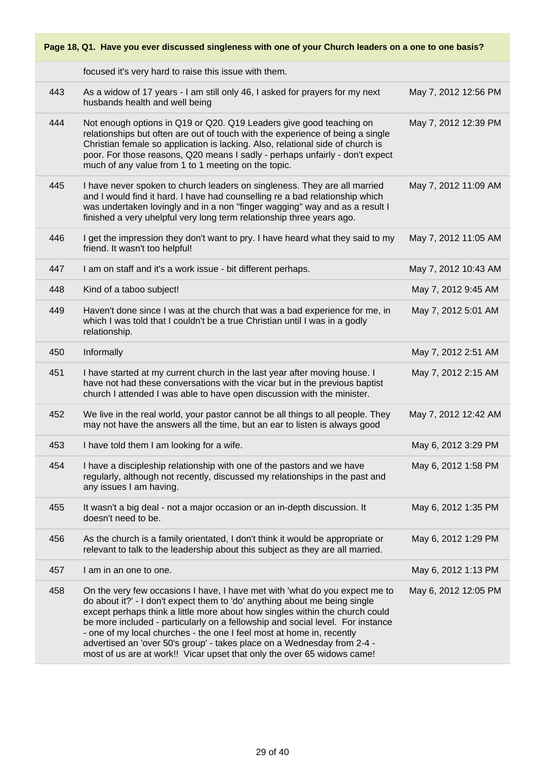|     | focused it's very hard to raise this issue with them.                                                                                                                                                                                                                                                                                                                                                                                                                                                                                                      |                      |
|-----|------------------------------------------------------------------------------------------------------------------------------------------------------------------------------------------------------------------------------------------------------------------------------------------------------------------------------------------------------------------------------------------------------------------------------------------------------------------------------------------------------------------------------------------------------------|----------------------|
| 443 | As a widow of 17 years - I am still only 46, I asked for prayers for my next<br>husbands health and well being                                                                                                                                                                                                                                                                                                                                                                                                                                             | May 7, 2012 12:56 PM |
| 444 | Not enough options in Q19 or Q20. Q19 Leaders give good teaching on<br>relationships but often are out of touch with the experience of being a single<br>Christian female so application is lacking. Also, relational side of church is<br>poor. For those reasons, Q20 means I sadly - perhaps unfairly - don't expect<br>much of any value from 1 to 1 meeting on the topic.                                                                                                                                                                             | May 7, 2012 12:39 PM |
| 445 | I have never spoken to church leaders on singleness. They are all married<br>and I would find it hard. I have had counselling re a bad relationship which<br>was undertaken lovingly and in a non "finger wagging" way and as a result I<br>finished a very uhelpful very long term relationship three years ago.                                                                                                                                                                                                                                          | May 7, 2012 11:09 AM |
| 446 | I get the impression they don't want to pry. I have heard what they said to my<br>friend. It wasn't too helpful!                                                                                                                                                                                                                                                                                                                                                                                                                                           | May 7, 2012 11:05 AM |
| 447 | I am on staff and it's a work issue - bit different perhaps.                                                                                                                                                                                                                                                                                                                                                                                                                                                                                               | May 7, 2012 10:43 AM |
| 448 | Kind of a taboo subject!                                                                                                                                                                                                                                                                                                                                                                                                                                                                                                                                   | May 7, 2012 9:45 AM  |
| 449 | Haven't done since I was at the church that was a bad experience for me, in<br>which I was told that I couldn't be a true Christian until I was in a godly<br>relationship.                                                                                                                                                                                                                                                                                                                                                                                | May 7, 2012 5:01 AM  |
| 450 | Informally                                                                                                                                                                                                                                                                                                                                                                                                                                                                                                                                                 | May 7, 2012 2:51 AM  |
| 451 | I have started at my current church in the last year after moving house. I<br>have not had these conversations with the vicar but in the previous baptist<br>church I attended I was able to have open discussion with the minister.                                                                                                                                                                                                                                                                                                                       | May 7, 2012 2:15 AM  |
| 452 | We live in the real world, your pastor cannot be all things to all people. They<br>may not have the answers all the time, but an ear to listen is always good                                                                                                                                                                                                                                                                                                                                                                                              | May 7, 2012 12:42 AM |
| 453 | I have told them I am looking for a wife.                                                                                                                                                                                                                                                                                                                                                                                                                                                                                                                  | May 6, 2012 3:29 PM  |
| 454 | I have a discipleship relationship with one of the pastors and we have<br>regularly, although not recently, discussed my relationships in the past and<br>any issues I am having.                                                                                                                                                                                                                                                                                                                                                                          | May 6, 2012 1:58 PM  |
| 455 | It wasn't a big deal - not a major occasion or an in-depth discussion. It<br>doesn't need to be.                                                                                                                                                                                                                                                                                                                                                                                                                                                           | May 6, 2012 1:35 PM  |
| 456 | As the church is a family orientated, I don't think it would be appropriate or<br>relevant to talk to the leadership about this subject as they are all married.                                                                                                                                                                                                                                                                                                                                                                                           | May 6, 2012 1:29 PM  |
| 457 | I am in an one to one.                                                                                                                                                                                                                                                                                                                                                                                                                                                                                                                                     | May 6, 2012 1:13 PM  |
| 458 | On the very few occasions I have, I have met with 'what do you expect me to<br>do about it?' - I don't expect them to 'do' anything about me being single<br>except perhaps think a little more about how singles within the church could<br>be more included - particularly on a fellowship and social level. For instance<br>- one of my local churches - the one I feel most at home in, recently<br>advertised an 'over 50's group' - takes place on a Wednesday from 2-4 -<br>most of us are at work!! Vicar upset that only the over 65 widows came! | May 6, 2012 12:05 PM |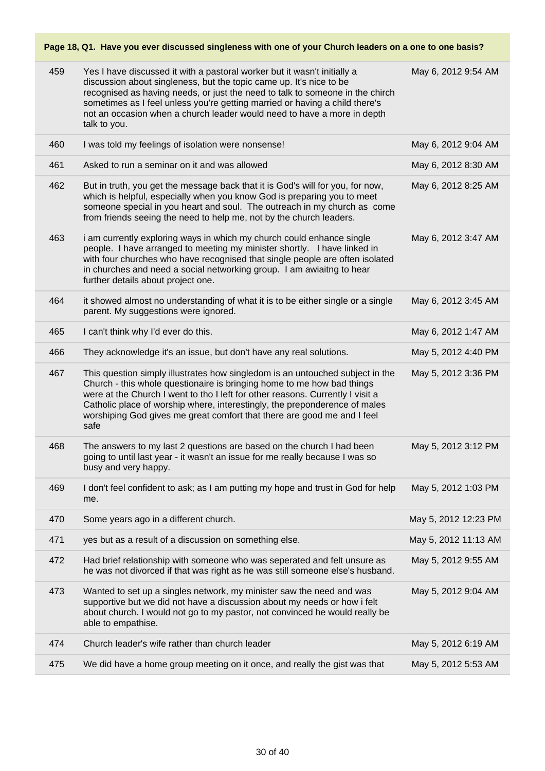| 459 | Yes I have discussed it with a pastoral worker but it wasn't initially a<br>discussion about singleness, but the topic came up. It's nice to be<br>recognised as having needs, or just the need to talk to someone in the chirch<br>sometimes as I feel unless you're getting married or having a child there's<br>not an occasion when a church leader would need to have a more in depth<br>talk to you. | May 6, 2012 9:54 AM  |
|-----|------------------------------------------------------------------------------------------------------------------------------------------------------------------------------------------------------------------------------------------------------------------------------------------------------------------------------------------------------------------------------------------------------------|----------------------|
| 460 | I was told my feelings of isolation were nonsense!                                                                                                                                                                                                                                                                                                                                                         | May 6, 2012 9:04 AM  |
| 461 | Asked to run a seminar on it and was allowed                                                                                                                                                                                                                                                                                                                                                               | May 6, 2012 8:30 AM  |
| 462 | But in truth, you get the message back that it is God's will for you, for now,<br>which is helpful, especially when you know God is preparing you to meet<br>someone special in you heart and soul. The outreach in my church as come<br>from friends seeing the need to help me, not by the church leaders.                                                                                               | May 6, 2012 8:25 AM  |
| 463 | i am currently exploring ways in which my church could enhance single<br>people. I have arranged to meeting my minister shortly. I have linked in<br>with four churches who have recognised that single people are often isolated<br>in churches and need a social networking group. I am awiaitng to hear<br>further details about project one.                                                           | May 6, 2012 3:47 AM  |
| 464 | it showed almost no understanding of what it is to be either single or a single<br>parent. My suggestions were ignored.                                                                                                                                                                                                                                                                                    | May 6, 2012 3:45 AM  |
| 465 | I can't think why I'd ever do this.                                                                                                                                                                                                                                                                                                                                                                        | May 6, 2012 1:47 AM  |
| 466 | They acknowledge it's an issue, but don't have any real solutions.                                                                                                                                                                                                                                                                                                                                         | May 5, 2012 4:40 PM  |
| 467 | This question simply illustrates how singledom is an untouched subject in the<br>Church - this whole questionaire is bringing home to me how bad things<br>were at the Church I went to tho I left for other reasons. Currently I visit a<br>Catholic place of worship where, interestingly, the preponderence of males<br>worshiping God gives me great comfort that there are good me and I feel<br>safe | May 5, 2012 3:36 PM  |
| 468 | The answers to my last 2 questions are based on the church I had been<br>going to until last year - it wasn't an issue for me really because I was so<br>busy and very happy.                                                                                                                                                                                                                              | May 5, 2012 3:12 PM  |
| 469 | I don't feel confident to ask; as I am putting my hope and trust in God for help<br>me.                                                                                                                                                                                                                                                                                                                    | May 5, 2012 1:03 PM  |
| 470 | Some years ago in a different church.                                                                                                                                                                                                                                                                                                                                                                      | May 5, 2012 12:23 PM |
| 471 | yes but as a result of a discussion on something else.                                                                                                                                                                                                                                                                                                                                                     | May 5, 2012 11:13 AM |
| 472 | Had brief relationship with someone who was seperated and felt unsure as<br>he was not divorced if that was right as he was still someone else's husband.                                                                                                                                                                                                                                                  | May 5, 2012 9:55 AM  |
| 473 | Wanted to set up a singles network, my minister saw the need and was<br>supportive but we did not have a discussion about my needs or how i felt<br>about church. I would not go to my pastor, not convinced he would really be<br>able to empathise.                                                                                                                                                      | May 5, 2012 9:04 AM  |
| 474 | Church leader's wife rather than church leader                                                                                                                                                                                                                                                                                                                                                             | May 5, 2012 6:19 AM  |
| 475 | We did have a home group meeting on it once, and really the gist was that                                                                                                                                                                                                                                                                                                                                  | May 5, 2012 5:53 AM  |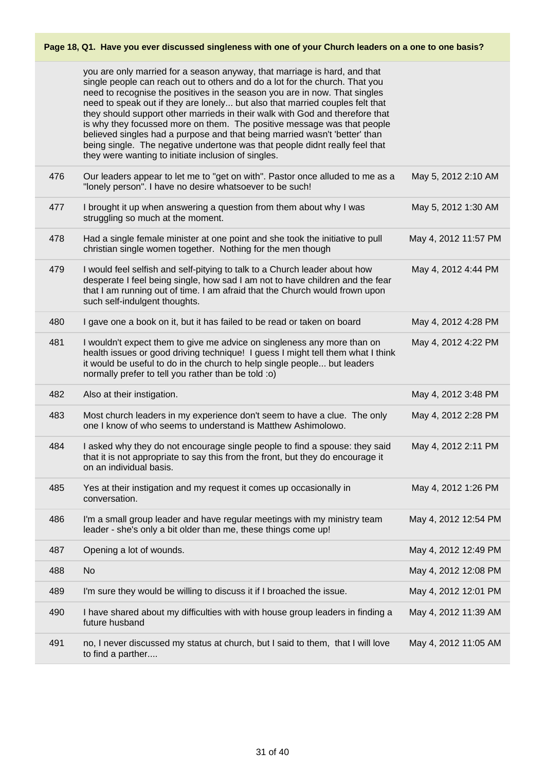|     | you are only married for a season anyway, that marriage is hard, and that<br>single people can reach out to others and do a lot for the church. That you<br>need to recognise the positives in the season you are in now. That singles<br>need to speak out if they are lonely but also that married couples felt that<br>they should support other marrieds in their walk with God and therefore that<br>is why they focussed more on them. The positive message was that people<br>believed singles had a purpose and that being married wasn't 'better' than<br>being single. The negative undertone was that people didnt really feel that<br>they were wanting to initiate inclusion of singles. |                      |
|-----|-------------------------------------------------------------------------------------------------------------------------------------------------------------------------------------------------------------------------------------------------------------------------------------------------------------------------------------------------------------------------------------------------------------------------------------------------------------------------------------------------------------------------------------------------------------------------------------------------------------------------------------------------------------------------------------------------------|----------------------|
| 476 | Our leaders appear to let me to "get on with". Pastor once alluded to me as a<br>"lonely person". I have no desire whatsoever to be such!                                                                                                                                                                                                                                                                                                                                                                                                                                                                                                                                                             | May 5, 2012 2:10 AM  |
| 477 | I brought it up when answering a question from them about why I was<br>struggling so much at the moment.                                                                                                                                                                                                                                                                                                                                                                                                                                                                                                                                                                                              | May 5, 2012 1:30 AM  |
| 478 | Had a single female minister at one point and she took the initiative to pull<br>christian single women together. Nothing for the men though                                                                                                                                                                                                                                                                                                                                                                                                                                                                                                                                                          | May 4, 2012 11:57 PM |
| 479 | I would feel selfish and self-pitying to talk to a Church leader about how<br>desperate I feel being single, how sad I am not to have children and the fear<br>that I am running out of time. I am afraid that the Church would frown upon<br>such self-indulgent thoughts.                                                                                                                                                                                                                                                                                                                                                                                                                           | May 4, 2012 4:44 PM  |
| 480 | I gave one a book on it, but it has failed to be read or taken on board                                                                                                                                                                                                                                                                                                                                                                                                                                                                                                                                                                                                                               | May 4, 2012 4:28 PM  |
| 481 | I wouldn't expect them to give me advice on singleness any more than on<br>health issues or good driving technique! I guess I might tell them what I think<br>it would be useful to do in the church to help single people but leaders<br>normally prefer to tell you rather than be told :o)                                                                                                                                                                                                                                                                                                                                                                                                         | May 4, 2012 4:22 PM  |
| 482 | Also at their instigation.                                                                                                                                                                                                                                                                                                                                                                                                                                                                                                                                                                                                                                                                            |                      |
|     |                                                                                                                                                                                                                                                                                                                                                                                                                                                                                                                                                                                                                                                                                                       | May 4, 2012 3:48 PM  |
| 483 | Most church leaders in my experience don't seem to have a clue. The only<br>one I know of who seems to understand is Matthew Ashimolowo.                                                                                                                                                                                                                                                                                                                                                                                                                                                                                                                                                              | May 4, 2012 2:28 PM  |
| 484 | I asked why they do not encourage single people to find a spouse: they said<br>that it is not appropriate to say this from the front, but they do encourage it<br>on an individual basis.                                                                                                                                                                                                                                                                                                                                                                                                                                                                                                             | May 4, 2012 2:11 PM  |
| 485 | Yes at their instigation and my request it comes up occasionally in<br>conversation.                                                                                                                                                                                                                                                                                                                                                                                                                                                                                                                                                                                                                  | May 4, 2012 1:26 PM  |
| 486 | I'm a small group leader and have regular meetings with my ministry team<br>leader - she's only a bit older than me, these things come up!                                                                                                                                                                                                                                                                                                                                                                                                                                                                                                                                                            | May 4, 2012 12:54 PM |
| 487 | Opening a lot of wounds.                                                                                                                                                                                                                                                                                                                                                                                                                                                                                                                                                                                                                                                                              | May 4, 2012 12:49 PM |
| 488 | <b>No</b>                                                                                                                                                                                                                                                                                                                                                                                                                                                                                                                                                                                                                                                                                             | May 4, 2012 12:08 PM |
| 489 | I'm sure they would be willing to discuss it if I broached the issue.                                                                                                                                                                                                                                                                                                                                                                                                                                                                                                                                                                                                                                 | May 4, 2012 12:01 PM |
| 490 | I have shared about my difficulties with with house group leaders in finding a<br>future husband                                                                                                                                                                                                                                                                                                                                                                                                                                                                                                                                                                                                      | May 4, 2012 11:39 AM |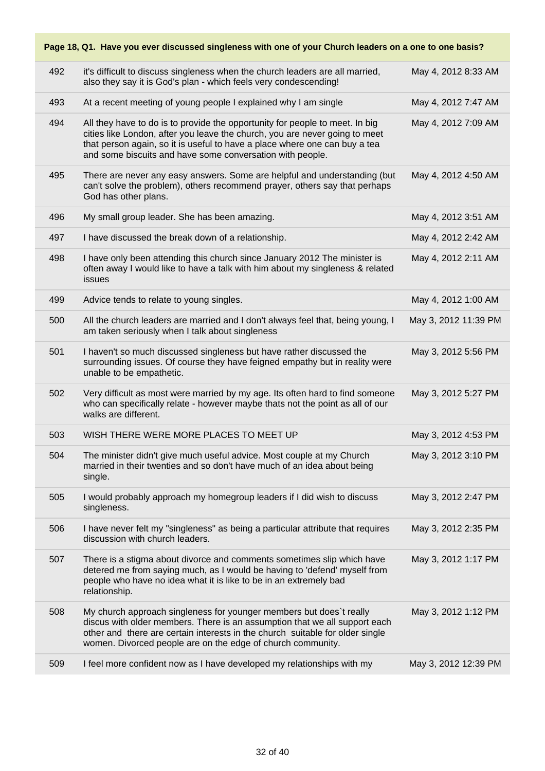| Page 18, Q1. Have you ever discussed singleness with one of your Church leaders on a one to one basis? |     |                                                                                                                                                                                                                                                                                                        |                      |
|--------------------------------------------------------------------------------------------------------|-----|--------------------------------------------------------------------------------------------------------------------------------------------------------------------------------------------------------------------------------------------------------------------------------------------------------|----------------------|
|                                                                                                        | 492 | it's difficult to discuss singleness when the church leaders are all married,<br>also they say it is God's plan - which feels very condescending!                                                                                                                                                      | May 4, 2012 8:33 AM  |
|                                                                                                        | 493 | At a recent meeting of young people I explained why I am single                                                                                                                                                                                                                                        | May 4, 2012 7:47 AM  |
|                                                                                                        | 494 | All they have to do is to provide the opportunity for people to meet. In big<br>cities like London, after you leave the church, you are never going to meet<br>that person again, so it is useful to have a place where one can buy a tea<br>and some biscuits and have some conversation with people. | May 4, 2012 7:09 AM  |
|                                                                                                        | 495 | There are never any easy answers. Some are helpful and understanding (but<br>can't solve the problem), others recommend prayer, others say that perhaps<br>God has other plans.                                                                                                                        | May 4, 2012 4:50 AM  |
|                                                                                                        | 496 | My small group leader. She has been amazing.                                                                                                                                                                                                                                                           | May 4, 2012 3:51 AM  |
|                                                                                                        | 497 | I have discussed the break down of a relationship.                                                                                                                                                                                                                                                     | May 4, 2012 2:42 AM  |
|                                                                                                        | 498 | I have only been attending this church since January 2012 The minister is<br>often away I would like to have a talk with him about my singleness & related<br>issues                                                                                                                                   | May 4, 2012 2:11 AM  |
|                                                                                                        | 499 | Advice tends to relate to young singles.                                                                                                                                                                                                                                                               | May 4, 2012 1:00 AM  |
|                                                                                                        | 500 | All the church leaders are married and I don't always feel that, being young, I<br>am taken seriously when I talk about singleness                                                                                                                                                                     | May 3, 2012 11:39 PM |
|                                                                                                        | 501 | I haven't so much discussed singleness but have rather discussed the<br>surrounding issues. Of course they have feigned empathy but in reality were<br>unable to be empathetic.                                                                                                                        | May 3, 2012 5:56 PM  |
|                                                                                                        | 502 | Very difficult as most were married by my age. Its often hard to find someone<br>who can specifically relate - however maybe thats not the point as all of our<br>walks are different.                                                                                                                 | May 3, 2012 5:27 PM  |
|                                                                                                        | 503 | WISH THERE WERE MORE PLACES TO MEET UP                                                                                                                                                                                                                                                                 | May 3, 2012 4:53 PM  |
|                                                                                                        | 504 | The minister didn't give much useful advice. Most couple at my Church<br>married in their twenties and so don't have much of an idea about being<br>single.                                                                                                                                            | May 3, 2012 3:10 PM  |
|                                                                                                        | 505 | I would probably approach my homegroup leaders if I did wish to discuss<br>singleness.                                                                                                                                                                                                                 | May 3, 2012 2:47 PM  |
|                                                                                                        | 506 | I have never felt my "singleness" as being a particular attribute that requires<br>discussion with church leaders.                                                                                                                                                                                     | May 3, 2012 2:35 PM  |
|                                                                                                        | 507 | There is a stigma about divorce and comments sometimes slip which have<br>detered me from saying much, as I would be having to 'defend' myself from<br>people who have no idea what it is like to be in an extremely bad<br>relationship.                                                              | May 3, 2012 1:17 PM  |
|                                                                                                        | 508 | My church approach singleness for younger members but does't really<br>discus with older members. There is an assumption that we all support each<br>other and there are certain interests in the church suitable for older single<br>women. Divorced people are on the edge of church community.      | May 3, 2012 1:12 PM  |
|                                                                                                        | 509 | I feel more confident now as I have developed my relationships with my                                                                                                                                                                                                                                 | May 3, 2012 12:39 PM |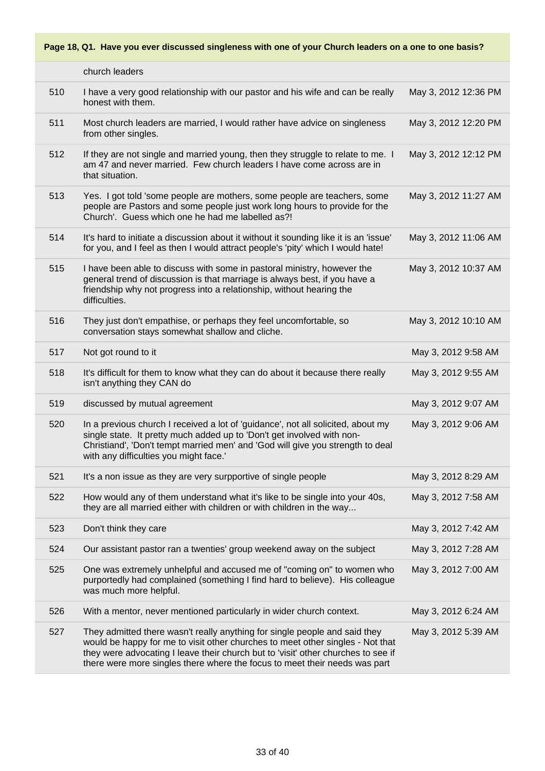|     | church leaders                                                                                                                                                                                                                                                                                                                  |                      |
|-----|---------------------------------------------------------------------------------------------------------------------------------------------------------------------------------------------------------------------------------------------------------------------------------------------------------------------------------|----------------------|
| 510 | I have a very good relationship with our pastor and his wife and can be really<br>honest with them.                                                                                                                                                                                                                             | May 3, 2012 12:36 PM |
| 511 | Most church leaders are married, I would rather have advice on singleness<br>from other singles.                                                                                                                                                                                                                                | May 3, 2012 12:20 PM |
| 512 | If they are not single and married young, then they struggle to relate to me. I<br>am 47 and never married. Few church leaders I have come across are in<br>that situation.                                                                                                                                                     | May 3, 2012 12:12 PM |
| 513 | Yes. I got told 'some people are mothers, some people are teachers, some<br>people are Pastors and some people just work long hours to provide for the<br>Church'. Guess which one he had me labelled as?!                                                                                                                      | May 3, 2012 11:27 AM |
| 514 | It's hard to initiate a discussion about it without it sounding like it is an 'issue'<br>for you, and I feel as then I would attract people's 'pity' which I would hate!                                                                                                                                                        | May 3, 2012 11:06 AM |
| 515 | I have been able to discuss with some in pastoral ministry, however the<br>general trend of discussion is that marriage is always best, if you have a<br>friendship why not progress into a relationship, without hearing the<br>difficulties.                                                                                  | May 3, 2012 10:37 AM |
| 516 | They just don't empathise, or perhaps they feel uncomfortable, so<br>conversation stays somewhat shallow and cliche.                                                                                                                                                                                                            | May 3, 2012 10:10 AM |
| 517 | Not got round to it                                                                                                                                                                                                                                                                                                             | May 3, 2012 9:58 AM  |
| 518 | It's difficult for them to know what they can do about it because there really<br>isn't anything they CAN do                                                                                                                                                                                                                    | May 3, 2012 9:55 AM  |
| 519 | discussed by mutual agreement                                                                                                                                                                                                                                                                                                   | May 3, 2012 9:07 AM  |
| 520 | In a previous church I received a lot of 'guidance', not all solicited, about my<br>single state. It pretty much added up to 'Don't get involved with non-<br>Christiand', 'Don't tempt married men' and 'God will give you strength to deal<br>with any difficulties you might face.'                                          | May 3, 2012 9:06 AM  |
| 521 | It's a non issue as they are very surpportive of single people                                                                                                                                                                                                                                                                  | May 3, 2012 8:29 AM  |
| 522 | How would any of them understand what it's like to be single into your 40s,<br>they are all married either with children or with children in the way                                                                                                                                                                            | May 3, 2012 7:58 AM  |
| 523 | Don't think they care                                                                                                                                                                                                                                                                                                           | May 3, 2012 7:42 AM  |
| 524 | Our assistant pastor ran a twenties' group weekend away on the subject                                                                                                                                                                                                                                                          | May 3, 2012 7:28 AM  |
| 525 | One was extremely unhelpful and accused me of "coming on" to women who<br>purportedly had complained (something I find hard to believe). His colleague<br>was much more helpful.                                                                                                                                                | May 3, 2012 7:00 AM  |
| 526 | With a mentor, never mentioned particularly in wider church context.                                                                                                                                                                                                                                                            | May 3, 2012 6:24 AM  |
| 527 | They admitted there wasn't really anything for single people and said they<br>would be happy for me to visit other churches to meet other singles - Not that<br>they were advocating I leave their church but to 'visit' other churches to see if<br>there were more singles there where the focus to meet their needs was part | May 3, 2012 5:39 AM  |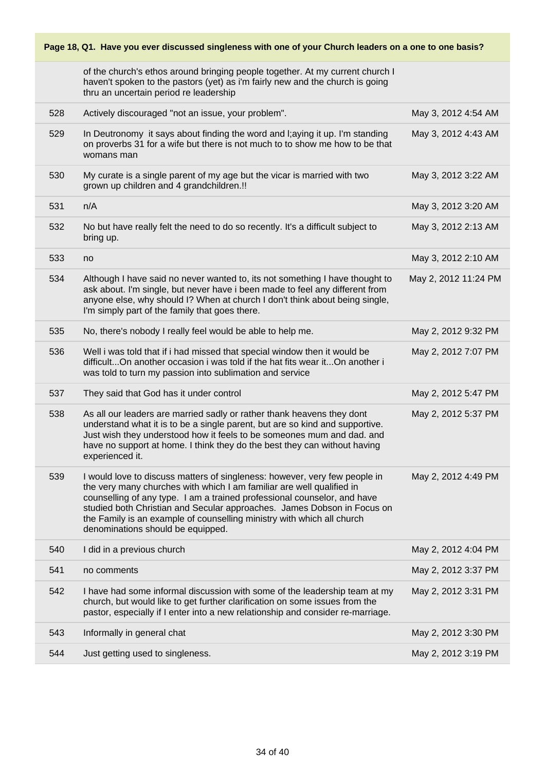of the church's ethos around bringing people together. At my current church I haven't spoken to the pastors (yet) as i'm fairly new and the church is going thru an uncertain period re leadership

| 528 | Actively discouraged "not an issue, your problem".                                                                                                                                                                                                                                                                                                                                                                        | May 3, 2012 4:54 AM  |
|-----|---------------------------------------------------------------------------------------------------------------------------------------------------------------------------------------------------------------------------------------------------------------------------------------------------------------------------------------------------------------------------------------------------------------------------|----------------------|
| 529 | In Deutronomy it says about finding the word and I; aying it up. I'm standing<br>on proverbs 31 for a wife but there is not much to to show me how to be that<br>womans man                                                                                                                                                                                                                                               | May 3, 2012 4:43 AM  |
| 530 | My curate is a single parent of my age but the vicar is married with two<br>grown up children and 4 grandchildren.!!                                                                                                                                                                                                                                                                                                      | May 3, 2012 3:22 AM  |
| 531 | n/A                                                                                                                                                                                                                                                                                                                                                                                                                       | May 3, 2012 3:20 AM  |
| 532 | No but have really felt the need to do so recently. It's a difficult subject to<br>bring up.                                                                                                                                                                                                                                                                                                                              | May 3, 2012 2:13 AM  |
| 533 | no                                                                                                                                                                                                                                                                                                                                                                                                                        | May 3, 2012 2:10 AM  |
| 534 | Although I have said no never wanted to, its not something I have thought to<br>ask about. I'm single, but never have i been made to feel any different from<br>anyone else, why should I? When at church I don't think about being single,<br>I'm simply part of the family that goes there.                                                                                                                             | May 2, 2012 11:24 PM |
| 535 | No, there's nobody I really feel would be able to help me.                                                                                                                                                                                                                                                                                                                                                                | May 2, 2012 9:32 PM  |
| 536 | Well i was told that if i had missed that special window then it would be<br>difficultOn another occasion i was told if the hat fits wear itOn another i<br>was told to turn my passion into sublimation and service                                                                                                                                                                                                      | May 2, 2012 7:07 PM  |
|     |                                                                                                                                                                                                                                                                                                                                                                                                                           |                      |
| 537 | They said that God has it under control                                                                                                                                                                                                                                                                                                                                                                                   | May 2, 2012 5:47 PM  |
| 538 | As all our leaders are married sadly or rather thank heavens they dont<br>understand what it is to be a single parent, but are so kind and supportive.<br>Just wish they understood how it feels to be someones mum and dad. and<br>have no support at home. I think they do the best they can without having<br>experienced it.                                                                                          | May 2, 2012 5:37 PM  |
| 539 | I would love to discuss matters of singleness: however, very few people in<br>the very many churches with which I am familiar are well qualified in<br>counselling of any type. I am a trained professional counselor, and have<br>studied both Christian and Secular approaches. James Dobson in Focus on<br>the Family is an example of counselling ministry with which all church<br>denominations should be equipped. | May 2, 2012 4:49 PM  |
| 540 | I did in a previous church                                                                                                                                                                                                                                                                                                                                                                                                | May 2, 2012 4:04 PM  |
| 541 | no comments                                                                                                                                                                                                                                                                                                                                                                                                               | May 2, 2012 3:37 PM  |
| 542 | I have had some informal discussion with some of the leadership team at my<br>church, but would like to get further clarification on some issues from the<br>pastor, especially if I enter into a new relationship and consider re-marriage.                                                                                                                                                                              | May 2, 2012 3:31 PM  |
| 543 | Informally in general chat                                                                                                                                                                                                                                                                                                                                                                                                | May 2, 2012 3:30 PM  |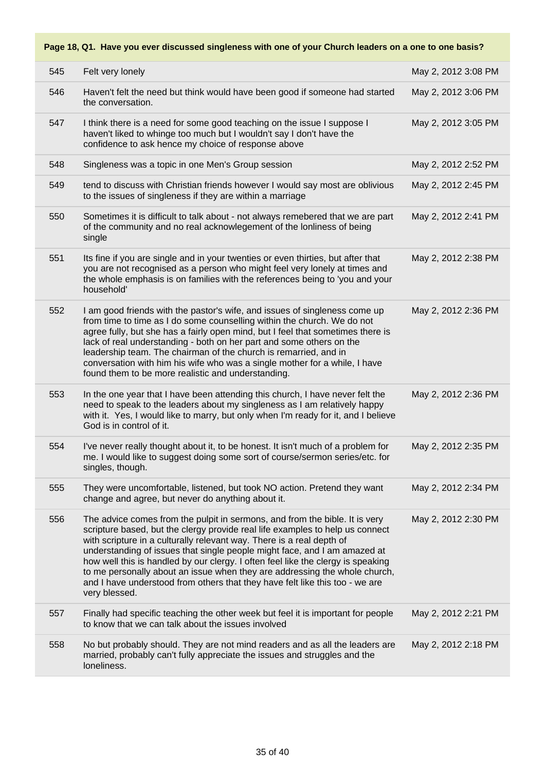| 545 | Felt very lonely                                                                                                                                                                                                                                                                                                                                                                                                                                                                                                                                                                      | May 2, 2012 3:08 PM |
|-----|---------------------------------------------------------------------------------------------------------------------------------------------------------------------------------------------------------------------------------------------------------------------------------------------------------------------------------------------------------------------------------------------------------------------------------------------------------------------------------------------------------------------------------------------------------------------------------------|---------------------|
| 546 | Haven't felt the need but think would have been good if someone had started<br>the conversation.                                                                                                                                                                                                                                                                                                                                                                                                                                                                                      | May 2, 2012 3:06 PM |
| 547 | I think there is a need for some good teaching on the issue I suppose I<br>haven't liked to whinge too much but I wouldn't say I don't have the<br>confidence to ask hence my choice of response above                                                                                                                                                                                                                                                                                                                                                                                | May 2, 2012 3:05 PM |
| 548 | Singleness was a topic in one Men's Group session                                                                                                                                                                                                                                                                                                                                                                                                                                                                                                                                     | May 2, 2012 2:52 PM |
| 549 | tend to discuss with Christian friends however I would say most are oblivious<br>to the issues of singleness if they are within a marriage                                                                                                                                                                                                                                                                                                                                                                                                                                            | May 2, 2012 2:45 PM |
| 550 | Sometimes it is difficult to talk about - not always remebered that we are part<br>of the community and no real acknowlegement of the lonliness of being<br>single                                                                                                                                                                                                                                                                                                                                                                                                                    | May 2, 2012 2:41 PM |
| 551 | Its fine if you are single and in your twenties or even thirties, but after that<br>you are not recognised as a person who might feel very lonely at times and<br>the whole emphasis is on families with the references being to 'you and your<br>household'                                                                                                                                                                                                                                                                                                                          | May 2, 2012 2:38 PM |
| 552 | I am good friends with the pastor's wife, and issues of singleness come up<br>from time to time as I do some counselling within the church. We do not<br>agree fully, but she has a fairly open mind, but I feel that sometimes there is<br>lack of real understanding - both on her part and some others on the<br>leadership team. The chairman of the church is remarried, and in<br>conversation with him his wife who was a single mother for a while, I have<br>found them to be more realistic and understanding.                                                              | May 2, 2012 2:36 PM |
| 553 | In the one year that I have been attending this church, I have never felt the<br>need to speak to the leaders about my singleness as I am relatively happy<br>with it. Yes, I would like to marry, but only when I'm ready for it, and I believe<br>God is in control of it.                                                                                                                                                                                                                                                                                                          | May 2, 2012 2:36 PM |
| 554 | I've never really thought about it, to be honest. It isn't much of a problem for<br>me. I would like to suggest doing some sort of course/sermon series/etc. for<br>singles, though.                                                                                                                                                                                                                                                                                                                                                                                                  | May 2, 2012 2:35 PM |
| 555 | They were uncomfortable, listened, but took NO action. Pretend they want<br>change and agree, but never do anything about it.                                                                                                                                                                                                                                                                                                                                                                                                                                                         | May 2, 2012 2:34 PM |
| 556 | The advice comes from the pulpit in sermons, and from the bible. It is very<br>scripture based, but the clergy provide real life examples to help us connect<br>with scripture in a culturally relevant way. There is a real depth of<br>understanding of issues that single people might face, and I am amazed at<br>how well this is handled by our clergy. I often feel like the clergy is speaking<br>to me personally about an issue when they are addressing the whole church,<br>and I have understood from others that they have felt like this too - we are<br>very blessed. | May 2, 2012 2:30 PM |
| 557 | Finally had specific teaching the other week but feel it is important for people<br>to know that we can talk about the issues involved                                                                                                                                                                                                                                                                                                                                                                                                                                                | May 2, 2012 2:21 PM |
| 558 | No but probably should. They are not mind readers and as all the leaders are<br>married, probably can't fully appreciate the issues and struggles and the<br>loneliness.                                                                                                                                                                                                                                                                                                                                                                                                              | May 2, 2012 2:18 PM |
|     |                                                                                                                                                                                                                                                                                                                                                                                                                                                                                                                                                                                       |                     |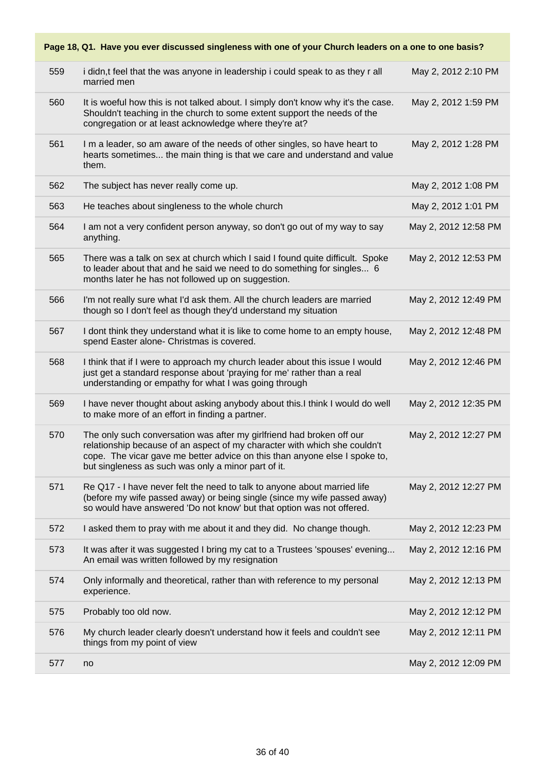|     | Page 18, Q1. Have you ever discussed singleness with one of your Church leaders on a one to one basis?                                                                                                                                                                                  |                      |
|-----|-----------------------------------------------------------------------------------------------------------------------------------------------------------------------------------------------------------------------------------------------------------------------------------------|----------------------|
| 559 | i didn,t feel that the was anyone in leadership i could speak to as they r all<br>married men                                                                                                                                                                                           | May 2, 2012 2:10 PM  |
| 560 | It is woeful how this is not talked about. I simply don't know why it's the case.<br>Shouldn't teaching in the church to some extent support the needs of the<br>congregation or at least acknowledge where they're at?                                                                 | May 2, 2012 1:59 PM  |
| 561 | I m a leader, so am aware of the needs of other singles, so have heart to<br>hearts sometimes the main thing is that we care and understand and value<br>them.                                                                                                                          | May 2, 2012 1:28 PM  |
| 562 | The subject has never really come up.                                                                                                                                                                                                                                                   | May 2, 2012 1:08 PM  |
| 563 | He teaches about singleness to the whole church                                                                                                                                                                                                                                         | May 2, 2012 1:01 PM  |
| 564 | I am not a very confident person anyway, so don't go out of my way to say<br>anything.                                                                                                                                                                                                  | May 2, 2012 12:58 PM |
| 565 | There was a talk on sex at church which I said I found quite difficult. Spoke<br>to leader about that and he said we need to do something for singles 6<br>months later he has not followed up on suggestion.                                                                           | May 2, 2012 12:53 PM |
| 566 | I'm not really sure what I'd ask them. All the church leaders are married<br>though so I don't feel as though they'd understand my situation                                                                                                                                            | May 2, 2012 12:49 PM |
| 567 | I dont think they understand what it is like to come home to an empty house,<br>spend Easter alone- Christmas is covered.                                                                                                                                                               | May 2, 2012 12:48 PM |
| 568 | I think that if I were to approach my church leader about this issue I would<br>just get a standard response about 'praying for me' rather than a real<br>understanding or empathy for what I was going through                                                                         | May 2, 2012 12:46 PM |
| 569 | I have never thought about asking anybody about this.I think I would do well<br>to make more of an effort in finding a partner.                                                                                                                                                         | May 2, 2012 12:35 PM |
| 570 | The only such conversation was after my girlfriend had broken off our<br>relationship because of an aspect of my character with which she couldn't<br>cope. The vicar gave me better advice on this than anyone else I spoke to,<br>but singleness as such was only a minor part of it. | May 2, 2012 12:27 PM |
| 571 | Re Q17 - I have never felt the need to talk to anyone about married life<br>(before my wife passed away) or being single (since my wife passed away)<br>so would have answered 'Do not know' but that option was not offered.                                                           | May 2, 2012 12:27 PM |
| 572 | I asked them to pray with me about it and they did. No change though.                                                                                                                                                                                                                   | May 2, 2012 12:23 PM |
| 573 | It was after it was suggested I bring my cat to a Trustees 'spouses' evening<br>An email was written followed by my resignation                                                                                                                                                         | May 2, 2012 12:16 PM |
| 574 | Only informally and theoretical, rather than with reference to my personal<br>experience.                                                                                                                                                                                               | May 2, 2012 12:13 PM |
| 575 | Probably too old now.                                                                                                                                                                                                                                                                   | May 2, 2012 12:12 PM |
| 576 | My church leader clearly doesn't understand how it feels and couldn't see<br>things from my point of view                                                                                                                                                                               | May 2, 2012 12:11 PM |
| 577 | no                                                                                                                                                                                                                                                                                      | May 2, 2012 12:09 PM |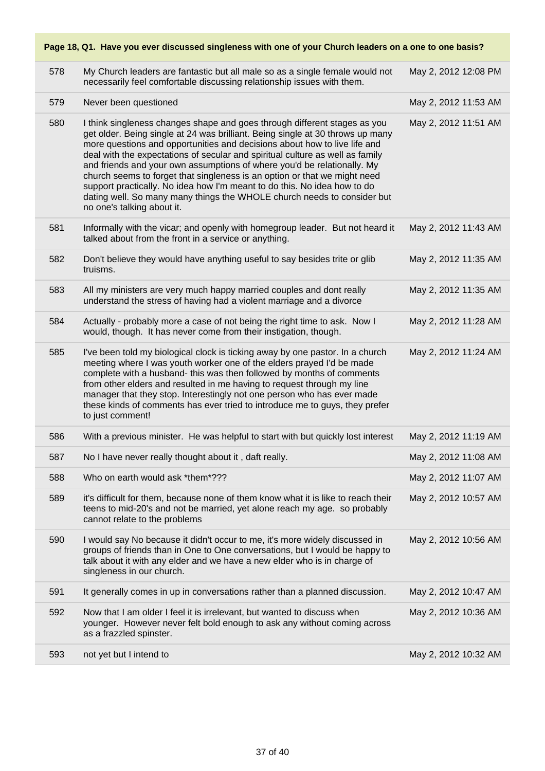|     | i ayo To, with navo you over ulscussed singleness with one or your onuren leaders on a one to one basis :                                                                                                                                                                                                                                                                                                                                                                                                                                                                                                                                                              |                      |
|-----|------------------------------------------------------------------------------------------------------------------------------------------------------------------------------------------------------------------------------------------------------------------------------------------------------------------------------------------------------------------------------------------------------------------------------------------------------------------------------------------------------------------------------------------------------------------------------------------------------------------------------------------------------------------------|----------------------|
| 578 | My Church leaders are fantastic but all male so as a single female would not<br>necessarily feel comfortable discussing relationship issues with them.                                                                                                                                                                                                                                                                                                                                                                                                                                                                                                                 | May 2, 2012 12:08 PM |
| 579 | Never been questioned                                                                                                                                                                                                                                                                                                                                                                                                                                                                                                                                                                                                                                                  | May 2, 2012 11:53 AM |
| 580 | I think singleness changes shape and goes through different stages as you<br>get older. Being single at 24 was brilliant. Being single at 30 throws up many<br>more questions and opportunities and decisions about how to live life and<br>deal with the expectations of secular and spiritual culture as well as family<br>and friends and your own assumptions of where you'd be relationally. My<br>church seems to forget that singleness is an option or that we might need<br>support practically. No idea how I'm meant to do this. No idea how to do<br>dating well. So many many things the WHOLE church needs to consider but<br>no one's talking about it. | May 2, 2012 11:51 AM |
| 581 | Informally with the vicar; and openly with homegroup leader. But not heard it<br>talked about from the front in a service or anything.                                                                                                                                                                                                                                                                                                                                                                                                                                                                                                                                 | May 2, 2012 11:43 AM |
| 582 | Don't believe they would have anything useful to say besides trite or glib<br>truisms.                                                                                                                                                                                                                                                                                                                                                                                                                                                                                                                                                                                 | May 2, 2012 11:35 AM |
| 583 | All my ministers are very much happy married couples and dont really<br>understand the stress of having had a violent marriage and a divorce                                                                                                                                                                                                                                                                                                                                                                                                                                                                                                                           | May 2, 2012 11:35 AM |
| 584 | Actually - probably more a case of not being the right time to ask. Now I<br>would, though. It has never come from their instigation, though.                                                                                                                                                                                                                                                                                                                                                                                                                                                                                                                          | May 2, 2012 11:28 AM |
| 585 | I've been told my biological clock is ticking away by one pastor. In a church<br>meeting where I was youth worker one of the elders prayed I'd be made<br>complete with a husband- this was then followed by months of comments<br>from other elders and resulted in me having to request through my line<br>manager that they stop. Interestingly not one person who has ever made<br>these kinds of comments has ever tried to introduce me to guys, they prefer<br>to just comment!                                                                                                                                                                                 | May 2, 2012 11:24 AM |
| 586 | With a previous minister. He was helpful to start with but quickly lost interest                                                                                                                                                                                                                                                                                                                                                                                                                                                                                                                                                                                       | May 2, 2012 11:19 AM |
| 587 | No I have never really thought about it, daft really.                                                                                                                                                                                                                                                                                                                                                                                                                                                                                                                                                                                                                  | May 2, 2012 11:08 AM |
| 588 | Who on earth would ask *them*???                                                                                                                                                                                                                                                                                                                                                                                                                                                                                                                                                                                                                                       | May 2, 2012 11:07 AM |
| 589 | it's difficult for them, because none of them know what it is like to reach their<br>teens to mid-20's and not be married, yet alone reach my age. so probably<br>cannot relate to the problems                                                                                                                                                                                                                                                                                                                                                                                                                                                                        | May 2, 2012 10:57 AM |
| 590 | I would say No because it didn't occur to me, it's more widely discussed in<br>groups of friends than in One to One conversations, but I would be happy to<br>talk about it with any elder and we have a new elder who is in charge of<br>singleness in our church.                                                                                                                                                                                                                                                                                                                                                                                                    | May 2, 2012 10:56 AM |
| 591 | It generally comes in up in conversations rather than a planned discussion.                                                                                                                                                                                                                                                                                                                                                                                                                                                                                                                                                                                            | May 2, 2012 10:47 AM |
| 592 | Now that I am older I feel it is irrelevant, but wanted to discuss when<br>younger. However never felt bold enough to ask any without coming across<br>as a frazzled spinster.                                                                                                                                                                                                                                                                                                                                                                                                                                                                                         | May 2, 2012 10:36 AM |
| 593 | not yet but I intend to                                                                                                                                                                                                                                                                                                                                                                                                                                                                                                                                                                                                                                                | May 2, 2012 10:32 AM |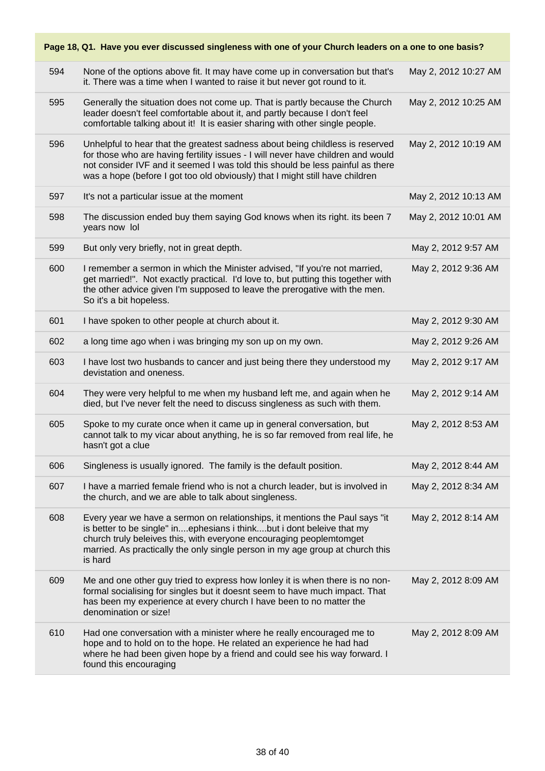|     | Page 18, Q1. Have you ever discussed singleness with one of your Church leaders on a one to one basis?                                                                                                                                                                                                                              |                      |
|-----|-------------------------------------------------------------------------------------------------------------------------------------------------------------------------------------------------------------------------------------------------------------------------------------------------------------------------------------|----------------------|
| 594 | None of the options above fit. It may have come up in conversation but that's<br>it. There was a time when I wanted to raise it but never got round to it.                                                                                                                                                                          | May 2, 2012 10:27 AM |
| 595 | Generally the situation does not come up. That is partly because the Church<br>leader doesn't feel comfortable about it, and partly because I don't feel<br>comfortable talking about it! It is easier sharing with other single people.                                                                                            | May 2, 2012 10:25 AM |
| 596 | Unhelpful to hear that the greatest sadness about being childless is reserved<br>for those who are having fertility issues - I will never have children and would<br>not consider IVF and it seemed I was told this should be less painful as there<br>was a hope (before I got too old obviously) that I might still have children | May 2, 2012 10:19 AM |
| 597 | It's not a particular issue at the moment                                                                                                                                                                                                                                                                                           | May 2, 2012 10:13 AM |
| 598 | The discussion ended buy them saying God knows when its right. its been 7<br>years now lol                                                                                                                                                                                                                                          | May 2, 2012 10:01 AM |
| 599 | But only very briefly, not in great depth.                                                                                                                                                                                                                                                                                          | May 2, 2012 9:57 AM  |
| 600 | I remember a sermon in which the Minister advised, "If you're not married,<br>get married!". Not exactly practical. I'd love to, but putting this together with<br>the other advice given I'm supposed to leave the prerogative with the men.<br>So it's a bit hopeless.                                                            | May 2, 2012 9:36 AM  |
| 601 | I have spoken to other people at church about it.                                                                                                                                                                                                                                                                                   | May 2, 2012 9:30 AM  |
| 602 | a long time ago when i was bringing my son up on my own.                                                                                                                                                                                                                                                                            | May 2, 2012 9:26 AM  |
| 603 | I have lost two husbands to cancer and just being there they understood my<br>devistation and oneness.                                                                                                                                                                                                                              | May 2, 2012 9:17 AM  |
| 604 | They were very helpful to me when my husband left me, and again when he<br>died, but I've never felt the need to discuss singleness as such with them.                                                                                                                                                                              | May 2, 2012 9:14 AM  |
| 605 | Spoke to my curate once when it came up in general conversation, but<br>cannot talk to my vicar about anything, he is so far removed from real life, he<br>hasn't got a clue                                                                                                                                                        | May 2, 2012 8:53 AM  |
| 606 | Singleness is usually ignored. The family is the default position.                                                                                                                                                                                                                                                                  | May 2, 2012 8:44 AM  |
| 607 | I have a married female friend who is not a church leader, but is involved in<br>the church, and we are able to talk about singleness.                                                                                                                                                                                              | May 2, 2012 8:34 AM  |
| 608 | Every year we have a sermon on relationships, it mentions the Paul says "it<br>is better to be single" inephesians i thinkbut i dont beleive that my<br>church truly beleives this, with everyone encouraging peoplemtomget<br>married. As practically the only single person in my age group at church this<br>is hard             | May 2, 2012 8:14 AM  |
| 609 | Me and one other guy tried to express how lonley it is when there is no non-<br>formal socialising for singles but it doesnt seem to have much impact. That<br>has been my experience at every church I have been to no matter the<br>denomination or size!                                                                         | May 2, 2012 8:09 AM  |
| 610 | Had one conversation with a minister where he really encouraged me to<br>hope and to hold on to the hope. He related an experience he had had<br>where he had been given hope by a friend and could see his way forward. I<br>found this encouraging                                                                                | May 2, 2012 8:09 AM  |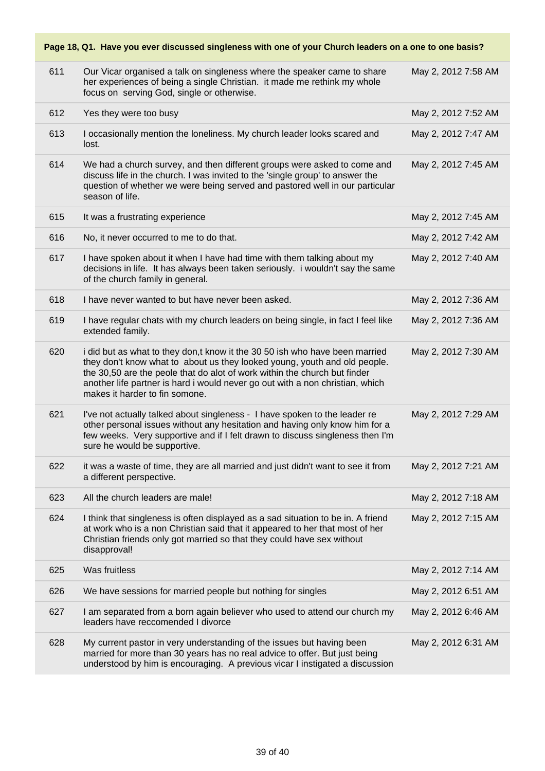#### **Page 18, Q1. Have you ever discussed singleness with one of your Church leaders on a one to one basis?** 611 Our Vicar organised a talk on singleness where the speaker came to share her experiences of being a single Christian. it made me rethink my whole focus on serving God, single or otherwise. May 2, 2012 7:58 AM 612 Yes they were too busy May 2, 2012 7:52 AM 613 I occasionally mention the loneliness. My church leader looks scared and lost. May 2, 2012 7:47 AM 614 We had a church survey, and then different groups were asked to come and discuss life in the church. I was invited to the 'single group' to answer the question of whether we were being served and pastored well in our particular season of life. May 2, 2012 7:45 AM 615 It was a frustrating experience May 2, 2012 7:45 AM 616 No, it never occurred to me to do that. May 2, 2012 7:42 AM 617 I have spoken about it when I have had time with them talking about my decisions in life. It has always been taken seriously. i wouldn't say the same of the church family in general. May 2, 2012 7:40 AM 618 I have never wanted to but have never been asked. May 2, 2012 7:36 AM 619 I have regular chats with my church leaders on being single, in fact I feel like extended family. May 2, 2012 7:36 AM 620 i did but as what to they don,t know it the 30 50 ish who have been married they don't know what to about us they looked young, youth and old people. the 30,50 are the peole that do alot of work within the church but finder another life partner is hard i would never go out with a non christian, which makes it harder to fin somone. May 2, 2012 7:30 AM 621 I've not actually talked about singleness - I have spoken to the leader re other personal issues without any hesitation and having only know him for a few weeks. Very supportive and if I felt drawn to discuss singleness then I'm sure he would be supportive. May 2, 2012 7:29 AM 622 it was a waste of time, they are all married and just didn't want to see it from a different perspective. May 2, 2012 7:21 AM 623 All the church leaders are male! May 2, 2012 7:18 AM 624 I think that singleness is often displayed as a sad situation to be in. A friend at work who is a non Christian said that it appeared to her that most of her Christian friends only got married so that they could have sex without disapproval! May 2, 2012 7:15 AM 625 Was fruitless May 2, 2012 7:14 AM 626 We have sessions for married people but nothing for singles May 2, 2012 6:51 AM 627 I am separated from a born again believer who used to attend our church my leaders have reccomended I divorce May 2, 2012 6:46 AM 628 My current pastor in very understanding of the issues but having been married for more than 30 years has no real advice to offer. But just being understood by him is encouraging. A previous vicar I instigated a discussion May 2, 2012 6:31 AM